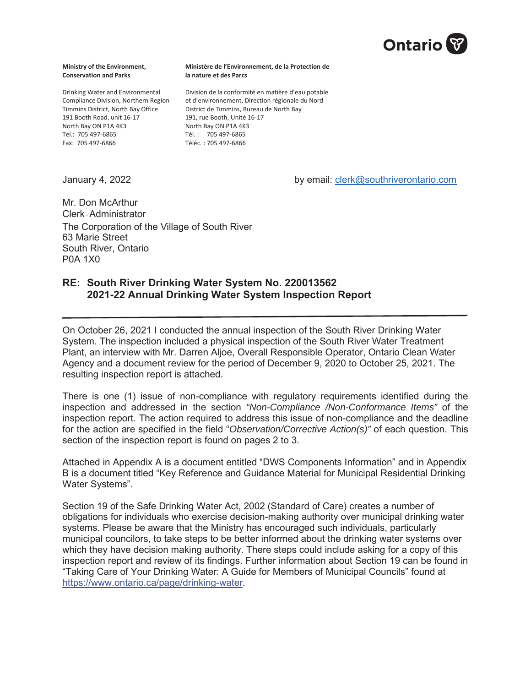

#### **Ministry of the Environment, Conservation and Parks**

Drinking Water and Environmental Compliance Division, Northern Region Timmins District, North Bay Office 191 Booth Road, unit 16-17 North Bay ON P1A 4K3 Tel.: 705 497-6865 Fax: 705 497-6866

#### **Ministère de l'Environnement, de la Protection de la nature et des Parcs**

Division de la conformité en matière d'eau potable et d'environnement, Direction régionale du Nord District de Timmins, Bureau de North Bay 191, rue Booth, Unité 16-17 North Bay ON P1A 4K3 Tél. : 705 497-6865 Téléc. : 705 497-6866

January 4, 2022 **A. A. Company 1, 2022 by email: clerk@southriverontario.com** 

Mr. Don McArthur Clerk-Administrator The Corporation of the Village of South River 63 Marie Street South River, Ontario P0A 1X0

#### **RE: South River Drinking Water System No. 220013562 2021-22 Annual Drinking Water System Inspection Report**

On October 26, 2021 I conducted the annual inspection of the South River Drinking Water System. The inspection included a physical inspection of the South River Water Treatment Plant, an interview with Mr. Darren Aljoe, Overall Responsible Operator, Ontario Clean Water Agency and a document review for the period of December 9, 2020 to October 25, 2021. The resulting inspection report is attached.

There is one (1) issue of non-compliance with regulatory requirements identified during the inspection and addressed in the section *"Non-Compliance /Non-Conformance Items"* of the inspection report. The action required to address this issue of non-compliance and the deadline for the action are specified in the field "*Observation/Corrective Action(s)"* of each question. This section of the inspection report is found on pages 2 to 3.

Attached in Appendix A is a document entitled "DWS Components Information" and in Appendix B is a document titled "Key Reference and Guidance Material for Municipal Residential Drinking Water Systems".

Section 19 of the Safe Drinking Water Act, 2002 (Standard of Care) creates a number of obligations for individuals who exercise decision-making authority over municipal drinking water systems. Please be aware that the Ministry has encouraged such individuals, particularly municipal councilors, to take steps to be better informed about the drinking water systems over which they have decision making authority. There steps could include asking for a copy of this inspection report and review of its findings. Further information about Section 19 can be found in "Taking Care of Your Drinking Water: A Guide for Members of Municipal Councils" found at https://www.ontario.ca/page/drinking-water.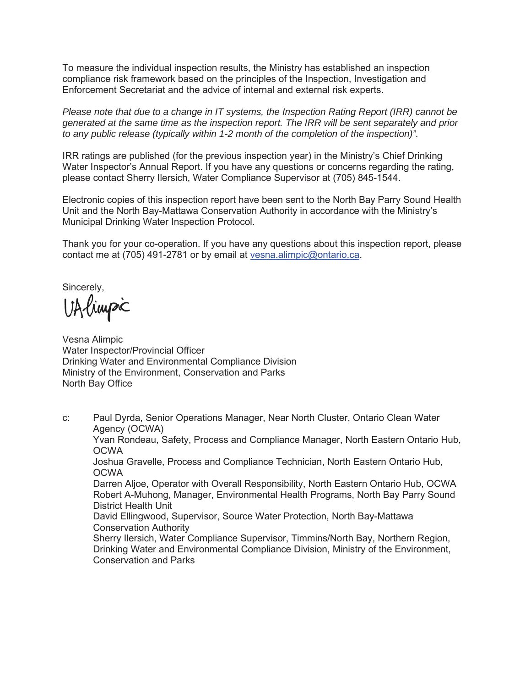To measure the individual inspection results, the Ministry has established an inspection compliance risk framework based on the principles of the Inspection, Investigation and Enforcement Secretariat and the advice of internal and external risk experts.

*Please note that due to a change in IT systems, the Inspection Rating Report (IRR) cannot be generated at the same time as the inspection report. The IRR will be sent separately and prior to any public release (typically within 1-2 month of the completion of the inspection)".*

IRR ratings are published (for the previous inspection year) in the Ministry's Chief Drinking Water Inspector's Annual Report. If you have any questions or concerns regarding the rating, please contact Sherry Ilersich, Water Compliance Supervisor at (705) 845-1544.

Electronic copies of this inspection report have been sent to the North Bay Parry Sound Health Unit and the North Bay-Mattawa Conservation Authority in accordance with the Ministry's Municipal Drinking Water Inspection Protocol.

Thank you for your co-operation. If you have any questions about this inspection report, please contact me at (705) 491-2781 or by email at vesna.alimpic@ontario.ca.

Sincerely,

UAlimpic

Vesna Alimpic Water Inspector/Provincial Officer Drinking Water and Environmental Compliance Division Ministry of the Environment, Conservation and Parks North Bay Office

c: Paul Dyrda, Senior Operations Manager, Near North Cluster, Ontario Clean Water Agency (OCWA) Yvan Rondeau, Safety, Process and Compliance Manager, North Eastern Ontario Hub, OCWA Joshua Gravelle, Process and Compliance Technician, North Eastern Ontario Hub, **OCWA** Darren Aljoe, Operator with Overall Responsibility, North Eastern Ontario Hub, OCWA Robert A-Muhong, Manager, Environmental Health Programs, North Bay Parry Sound District Health Unit David Ellingwood, Supervisor, Source Water Protection, North Bay-Mattawa Conservation Authority Sherry Ilersich, Water Compliance Supervisor, Timmins/North Bay, Northern Region,

Drinking Water and Environmental Compliance Division, Ministry of the Environment, Conservation and Parks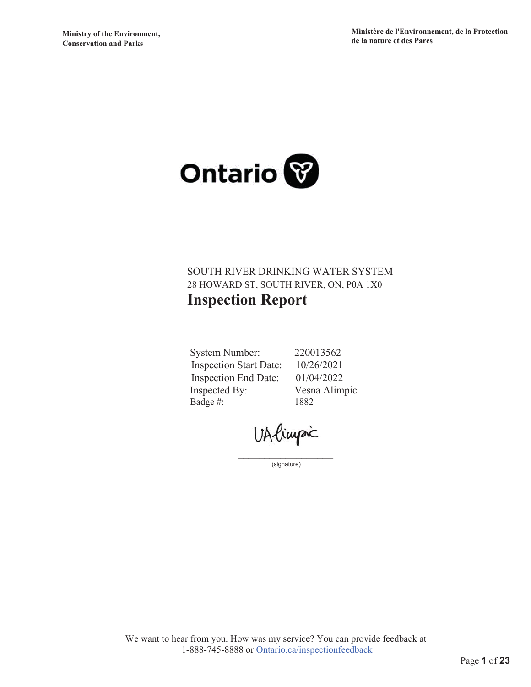

### SOUTH RIVER DRINKING WATER SYSTEM 28 HOWARD ST, SOUTH RIVER, ON, P0A 1X0 **Inspection Report**

**System Number: Inspection Start Date: Inspection End Date:** Inspected By: Badge #:

220013562 10/26/2021 01/04/2022 Vesna Alimpic 1882

UAlimpic

(signature)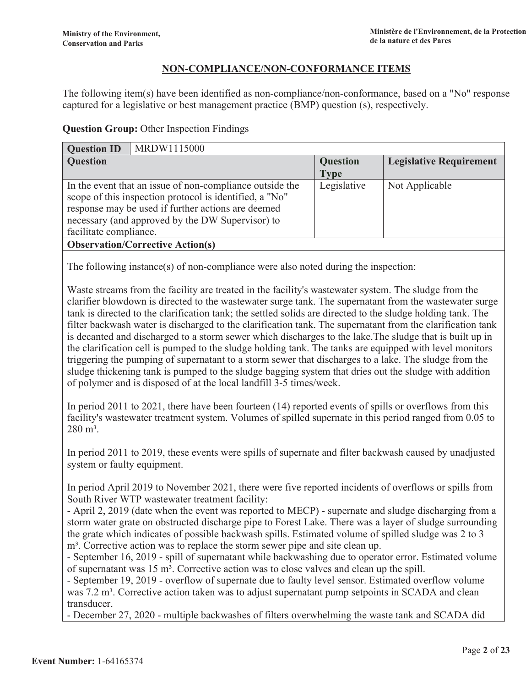#### NON-COMPLIANCE/NON-CONFORMANCE ITEMS

The following item(s) have been identified as non-compliance/non-conformance, based on a "No" response captured for a legislative or best management practice (BMP) question (s), respectively.

#### **Question Group: Other Inspection Findings**

| MRDW1115000<br><b>Question ID</b>                        |                 |                                |  |
|----------------------------------------------------------|-----------------|--------------------------------|--|
| <b>Question</b>                                          | <b>Question</b> | <b>Legislative Requirement</b> |  |
|                                                          | <b>Type</b>     |                                |  |
| In the event that an issue of non-compliance outside the | Legislative     | Not Applicable                 |  |
| scope of this inspection protocol is identified, a "No"  |                 |                                |  |
| response may be used if further actions are deemed       |                 |                                |  |
| necessary (and approved by the DW Supervisor) to         |                 |                                |  |
| facilitate compliance.                                   |                 |                                |  |
| <b>Observation/Corrective Action(s)</b>                  |                 |                                |  |
|                                                          |                 |                                |  |

The following instance(s) of non-compliance were also noted during the inspection:

Waste streams from the facility are treated in the facility's wastewater system. The sludge from the clarifier blowdown is directed to the wastewater surge tank. The supernatant from the wastewater surge tank is directed to the clarification tank; the settled solids are directed to the sludge holding tank. The filter backwash water is discharged to the clarification tank. The supernatant from the clarification tank is decanted and discharged to a storm sewer which discharges to the lake. The sludge that is built up in the clarification cell is pumped to the sludge holding tank. The tanks are equipped with level monitors triggering the pumping of supernatant to a storm sewer that discharges to a lake. The sludge from the sludge thickening tank is pumped to the sludge bagging system that dries out the sludge with addition of polymer and is disposed of at the local landfill 3-5 times/week.

In period 2011 to 2021, there have been fourteen  $(14)$  reported events of spills or overflows from this facility's wastewater treatment system. Volumes of spilled supernate in this period ranged from 0.05 to  $280 \text{ m}^3$ .

In period 2011 to 2019, these events were spills of supernate and filter backwash caused by unadjusted system or faulty equipment.

In period April 2019 to November 2021, there were five reported incidents of overflows or spills from South River WTP wastewater treatment facility:

- April 2, 2019 (date when the event was reported to MECP) - supernate and sludge discharging from a storm water grate on obstructed discharge pipe to Forest Lake. There was a layer of sludge surrounding the grate which indicates of possible backwash spills. Estimated volume of spilled sludge was 2 to 3 m<sup>3</sup>. Corrective action was to replace the storm sewer pipe and site clean up.

- September 16, 2019 - spill of supernatant while backwashing due to operator error. Estimated volume of supernatant was  $15 \text{ m}^3$ . Corrective action was to close valves and clean up the spill.

- September 19, 2019 - overflow of supernate due to faulty level sensor. Estimated overflow volume was 7.2 m<sup>3</sup>. Corrective action taken was to adjust supernatant pump setpoints in SCADA and clean transducer.

- December 27, 2020 - multiple backwashes of filters overwhelming the waste tank and SCADA did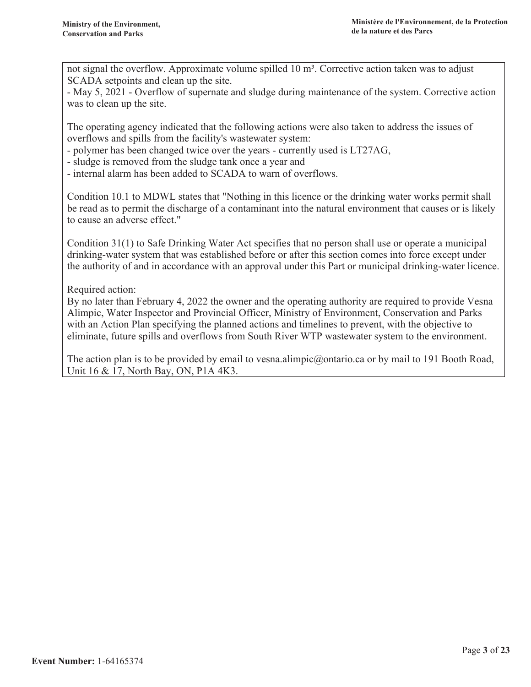not signal the overflow. Approximate volume spilled 10 m<sup>3</sup>. Corrective action taken was to adjust SCADA setpoints and clean up the site.

- May 5, 2021 - Overflow of supernate and sludge during maintenance of the system. Corrective action was to clean up the site.

The operating agency indicated that the following actions were also taken to address the issues of overflows and spills from the facility's wastewater system:

- polymer has been changed twice over the years - currently used is LT27AG,

- sludge is removed from the sludge tank once a year and

- internal alarm has been added to SCADA to warn of overflows.

Condition 10.1 to MDWL states that "Nothing in this licence or the drinking water works permit shall be read as to permit the discharge of a contaminant into the natural environment that causes or is likely to cause an adverse effect."

Condition 31(1) to Safe Drinking Water Act specifies that no person shall use or operate a municipal drinking-water system that was established before or after this section comes into force except under the authority of and in accordance with an approval under this Part or municipal drinking-water licence.

Required action:

By no later than February 4, 2022 the owner and the operating authority are required to provide Vesna Alimpic, Water Inspector and Provincial Officer, Ministry of Environment, Conservation and Parks with an Action Plan specifying the planned actions and timelines to prevent, with the objective to eliminate, future spills and overflows from South River WTP wastewater system to the environment.

The action plan is to be provided by email to vesna.alimpic@ontario.ca or by mail to 191 Booth Road, Unit 16 & 17, North Bay, ON, P1A 4K3.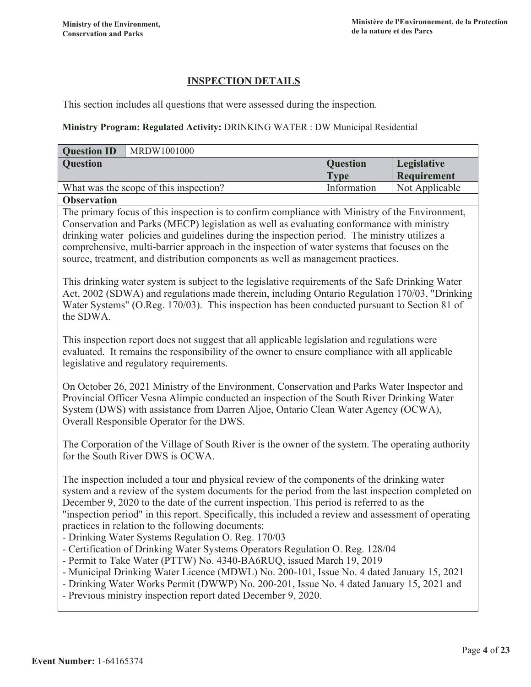### **INSPECTION DETAILS**

This section includes all questions that were assessed during the inspection.

#### Ministry Program: Regulated Activity: DRINKING WATER : DW Municipal Residential

| <b>Question ID</b><br>MRDW1001000                                                                                                                                                                                                                                                                                                                                                                                                                                                                                                                                                                                                                                                                                                                                    |                                |                            |  |
|----------------------------------------------------------------------------------------------------------------------------------------------------------------------------------------------------------------------------------------------------------------------------------------------------------------------------------------------------------------------------------------------------------------------------------------------------------------------------------------------------------------------------------------------------------------------------------------------------------------------------------------------------------------------------------------------------------------------------------------------------------------------|--------------------------------|----------------------------|--|
| <b>Question</b>                                                                                                                                                                                                                                                                                                                                                                                                                                                                                                                                                                                                                                                                                                                                                      | <b>Question</b><br><b>Type</b> | Legislative<br>Requirement |  |
| What was the scope of this inspection?                                                                                                                                                                                                                                                                                                                                                                                                                                                                                                                                                                                                                                                                                                                               | Information                    | Not Applicable             |  |
| <b>Observation</b>                                                                                                                                                                                                                                                                                                                                                                                                                                                                                                                                                                                                                                                                                                                                                   |                                |                            |  |
| The primary focus of this inspection is to confirm compliance with Ministry of the Environment,<br>Conservation and Parks (MECP) legislation as well as evaluating conformance with ministry<br>drinking water policies and guidelines during the inspection period. The ministry utilizes a<br>comprehensive, multi-barrier approach in the inspection of water systems that focuses on the<br>source, treatment, and distribution components as well as management practices.                                                                                                                                                                                                                                                                                      |                                |                            |  |
| This drinking water system is subject to the legislative requirements of the Safe Drinking Water<br>Act, 2002 (SDWA) and regulations made therein, including Ontario Regulation 170/03, "Drinking<br>Water Systems" (O.Reg. 170/03). This inspection has been conducted pursuant to Section 81 of<br>the SDWA.                                                                                                                                                                                                                                                                                                                                                                                                                                                       |                                |                            |  |
| This inspection report does not suggest that all applicable legislation and regulations were<br>evaluated. It remains the responsibility of the owner to ensure compliance with all applicable<br>legislative and regulatory requirements.                                                                                                                                                                                                                                                                                                                                                                                                                                                                                                                           |                                |                            |  |
| On October 26, 2021 Ministry of the Environment, Conservation and Parks Water Inspector and<br>Provincial Officer Vesna Alimpic conducted an inspection of the South River Drinking Water<br>System (DWS) with assistance from Darren Aljoe, Ontario Clean Water Agency (OCWA),<br>Overall Responsible Operator for the DWS.                                                                                                                                                                                                                                                                                                                                                                                                                                         |                                |                            |  |
| The Corporation of the Village of South River is the owner of the system. The operating authority<br>for the South River DWS is OCWA.                                                                                                                                                                                                                                                                                                                                                                                                                                                                                                                                                                                                                                |                                |                            |  |
| The inspection included a tour and physical review of the components of the drinking water<br>system and a review of the system documents for the period from the last inspection completed on<br>December 9, 2020 to the date of the current inspection. This period is referred to as the<br>"inspection period" in this report. Specifically, this included a review and assessment of operating<br>practices in relation to the following documents:<br>- Drinking Water Systems Regulation O. Reg. 170/03<br>- Certification of Drinking Water Systems Operators Regulation O. Reg. 128/04<br>- Permit to Take Water (PTTW) No. 4340-BA6RUQ, issued March 19, 2019<br>- Municipal Drinking Water Licence (MDWL) No. 200-101, Issue No. 4 dated January 15, 2021 |                                |                            |  |
| - Drinking Water Works Permit (DWWP) No. 200-201, Issue No. 4 dated January 15, 2021 and<br>- Previous ministry inspection report dated December 9, 2020.                                                                                                                                                                                                                                                                                                                                                                                                                                                                                                                                                                                                            |                                |                            |  |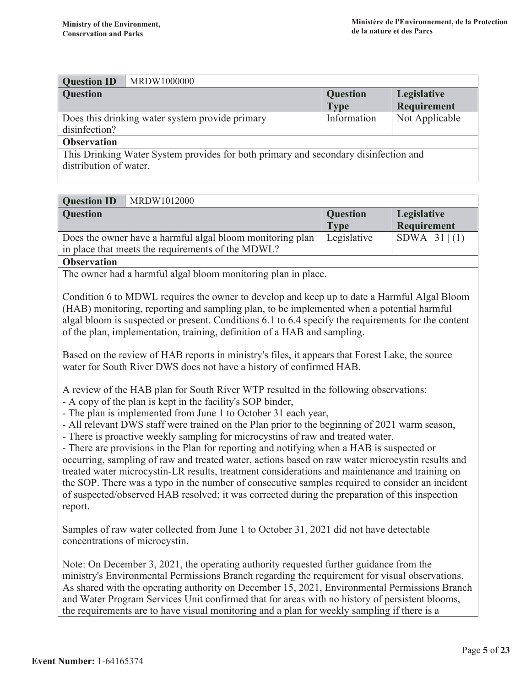| <b>Question</b>                                                                     | Legislative    |  |
|-------------------------------------------------------------------------------------|----------------|--|
| <b>Type</b>                                                                         | Requirement    |  |
| Information                                                                         | Not Applicable |  |
|                                                                                     |                |  |
|                                                                                     |                |  |
| This Drinking Water System provides for both primary and secondary disinfection and |                |  |
|                                                                                     |                |  |
|                                                                                     |                |  |

| <b>Question ID</b><br>MRDW1012000                         |                 |                 |
|-----------------------------------------------------------|-----------------|-----------------|
| <b>Question</b>                                           | <b>Question</b> | Legislative     |
|                                                           | <b>Type</b>     | Requirement     |
| Does the owner have a harmful algal bloom monitoring plan | Legislative     | SDWA   31   (1) |
| in place that meets the requirements of the MDWL?         |                 |                 |
| <b>Observation</b>                                        |                 |                 |

The owner had a harmful algal bloom monitoring plan in place.

Condition 6 to MDWL requires the owner to develop and keep up to date a Harmful Algal Bloom (HAB) monitoring, reporting and sampling plan, to be implemented when a potential harmful algal bloom is suspected or present. Conditions 6.1 to 6.4 specify the requirements for the content of the plan, implementation, training, definition of a HAB and sampling.

Based on the review of HAB reports in ministry's files, it appears that Forest Lake, the source water for South River DWS does not have a history of confirmed HAB.

A review of the HAB plan for South River WTP resulted in the following observations:

- A copy of the plan is kept in the facility's SOP binder,

- The plan is implemented from June 1 to October 31 each year,

- All relevant DWS staff were trained on the Plan prior to the beginning of 2021 warm season,

- There is proactive weekly sampling for microcystins of raw and treated water.

- There are provisions in the Plan for reporting and notifying when a HAB is suspected or occurring, sampling of raw and treated water, actions based on raw water microcystin results and treated water microcystin-LR results, treatment considerations and maintenance and training on the SOP. There was a typo in the number of consecutive samples required to consider an incident of suspected/observed HAB resolved; it was corrected during the preparation of this inspection report.

Samples of raw water collected from June 1 to October 31, 2021 did not have detectable concentrations of microcystin.

Note: On December 3, 2021, the operating authority requested further guidance from the ministry's Environmental Permissions Branch regarding the requirement for visual observations. As shared with the operating authority on December 15, 2021, Environmental Permissions Branch and Water Program Services Unit confirmed that for areas with no history of persistent blooms, the requirements are to have visual monitoring and a plan for weekly sampling if there is a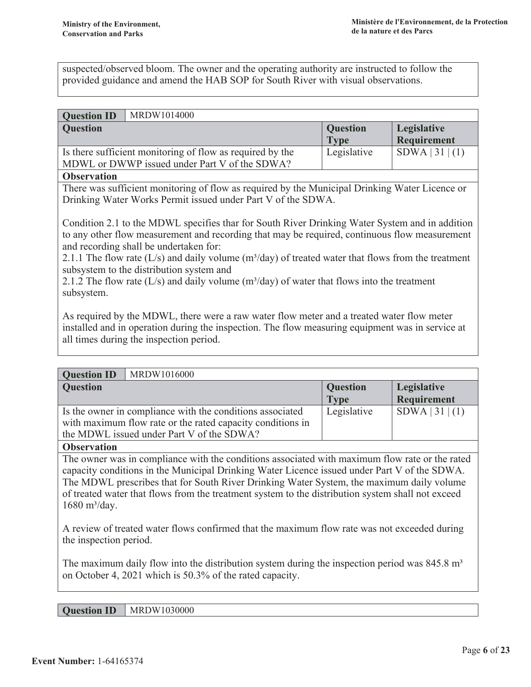suspected/observed bloom. The owner and the operating authority are instructed to follow the provided guidance and amend the HAB SOP for South River with visual observations.

#### **Ouestion ID** MRDW1014000

| $\sim$ $\sim$ $\sim$ $\sim$ $\sim$ $\sim$                 |                 |             |
|-----------------------------------------------------------|-----------------|-------------|
| <b>Question</b>                                           | <b>Question</b> | Legislative |
|                                                           | <b>Type</b>     | Requirement |
| Is there sufficient monitoring of flow as required by the | Legislative     | SDWA 31 (1) |
| MDWL or DWWP issued under Part V of the SDWA?             |                 |             |
|                                                           |                 |             |

#### **Observation**

There was sufficient monitoring of flow as required by the Municipal Drinking Water Licence or Drinking Water Works Permit issued under Part V of the SDWA.

Condition 2.1 to the MDWL specifies thar for South River Drinking Water System and in addition to any other flow measurement and recording that may be required, continuous flow measurement and recording shall be undertaken for:

2.1.1 The flow rate  $(L/s)$  and daily volume  $(m<sup>3</sup>/day)$  of treated water that flows from the treatment subsystem to the distribution system and

2.1.2 The flow rate (L/s) and daily volume ( $m^3$ /day) of water that flows into the treatment subsystem.

As required by the MDWL, there were a raw water flow meter and a treated water flow meter installed and in operation during the inspection. The flow measuring equipment was in service at all times during the inspection period.

| MRDW1016000<br><b>Question ID</b>                          |                 |                 |
|------------------------------------------------------------|-----------------|-----------------|
| <b>Question</b>                                            | <b>Question</b> | Legislative     |
|                                                            | <b>Type</b>     | Requirement     |
| Is the owner in compliance with the conditions associated  | Legislative     | SDWA   31   (1) |
| with maximum flow rate or the rated capacity conditions in |                 |                 |
| the MDWL issued under Part V of the SDWA?                  |                 |                 |

#### **Observation**

The owner was in compliance with the conditions associated with maximum flow rate or the rated capacity conditions in the Municipal Drinking Water Licence issued under Part V of the SDWA. The MDWL prescribes that for South River Drinking Water System, the maximum daily volume of treated water that flows from the treatment system to the distribution system shall not exceed  $1680 \text{ m}^3/\text{day}$ .

A review of treated water flows confirmed that the maximum flow rate was not exceeded during the inspection period.

The maximum daily flow into the distribution system during the inspection period was  $845.8 \text{ m}^3$ on October 4, 2021 which is 50.3% of the rated capacity.

**Question ID** MRDW1030000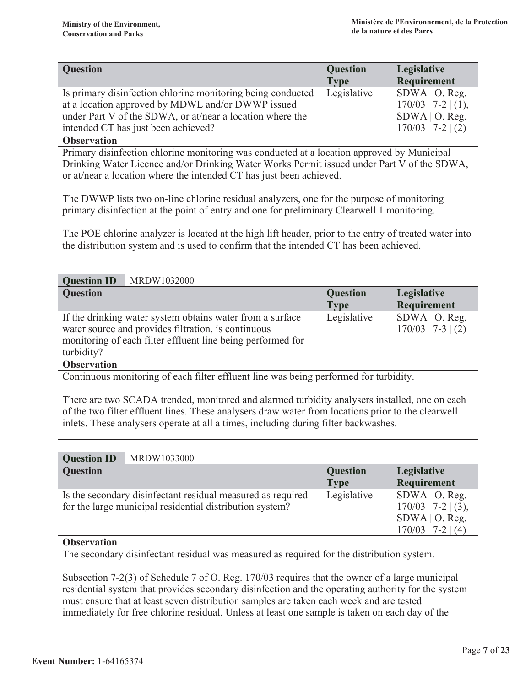| <b>Question</b>                                             | <b>Question</b> | <b>Legislative</b>    |
|-------------------------------------------------------------|-----------------|-----------------------|
|                                                             | <b>Type</b>     | Requirement           |
| Is primary disinfection chlorine monitoring being conducted | Legislative     | $SDWA$   O. Reg.      |
| at a location approved by MDWL and/or DWWP issued           |                 | $170/03$   7-2   (1), |
| under Part V of the SDWA, or at/near a location where the   |                 | $SDWA$   O. Reg.      |
| intended CT has just been achieved?                         |                 | $170/03$   7-2   (2)  |

**Observation** 

Primary disinfection chlorine monitoring was conducted at a location approved by Municipal Drinking Water Licence and/or Drinking Water Works Permit issued under Part V of the SDWA, or at/near a location where the intended CT has just been achieved.

The DWWP lists two on-line chlorine residual analyzers, one for the purpose of monitoring primary disinfection at the point of entry and one for preliminary Clearwell 1 monitoring.

The POE chlorine analyzer is located at the high lift header, prior to the entry of treated water into the distribution system and is used to confirm that the intended CT has been achieved.

| MRDW1032000<br><b>Question ID</b>                           |                 |                      |
|-------------------------------------------------------------|-----------------|----------------------|
| <b>Question</b>                                             | <b>Question</b> | Legislative          |
|                                                             | <b>Type</b>     | Requirement          |
| If the drinking water system obtains water from a surface   | Legislative     | $SDWA$   O. Reg.     |
| water source and provides filtration, is continuous         |                 | $170/03$   7-3   (2) |
| monitoring of each filter effluent line being performed for |                 |                      |
| turbidity?                                                  |                 |                      |
| Ohservation                                                 |                 |                      |

Continuous monitoring of each filter effluent line was being performed for turbidity.

There are two SCADA trended, monitored and alarmed turbidity analysers installed, one on each of the two filter effluent lines. These analysers draw water from locations prior to the clearwell inlets. These analysers operate at all a times, including during filter backwashes.

| <b>Question ID</b> | MRDW1033000                                                 |                 |                       |
|--------------------|-------------------------------------------------------------|-----------------|-----------------------|
| <b>Question</b>    |                                                             | <b>Question</b> | Legislative           |
|                    |                                                             | <b>Type</b>     | Requirement           |
|                    | Is the secondary disinfectant residual measured as required | Legislative     | $SDWA$   O. Reg.      |
|                    | for the large municipal residential distribution system?    |                 | $170/03$   7-2   (3), |
|                    |                                                             |                 | $SDWA$   O. Reg.      |
|                    |                                                             |                 | $170/03$   7-2   (4)  |

#### **Observation**

The secondary disinfectant residual was measured as required for the distribution system.

Subsection 7-2(3) of Schedule 7 of O. Reg.  $170/03$  requires that the owner of a large municipal residential system that provides secondary disinfection and the operating authority for the system must ensure that at least seven distribution samples are taken each week and are tested immediately for free chlorine residual. Unless at least one sample is taken on each day of the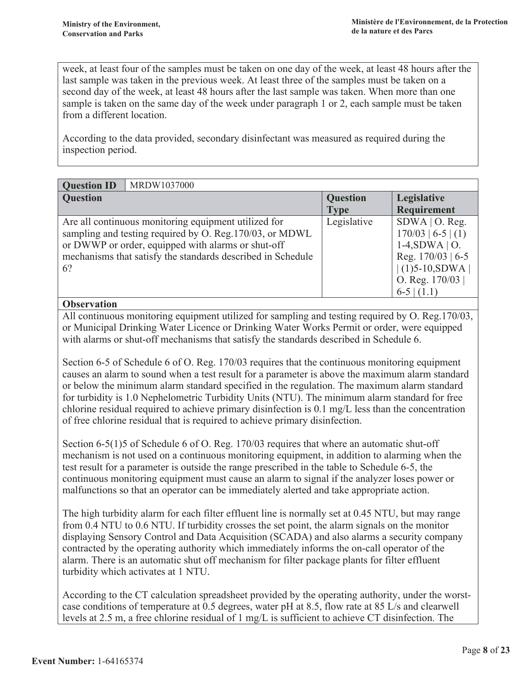week, at least four of the samples must be taken on one day of the week, at least 48 hours after the last sample was taken in the previous week. At least three of the samples must be taken on a second day of the week, at least 48 hours after the last sample was taken. When more than one sample is taken on the same day of the week under paragraph 1 or 2, each sample must be taken from a different location.

According to the data provided, secondary disinfectant was measured as required during the inspection period.

| <b>Question ID</b> | MRDW1037000                                                                                                                                                                                                                           |                 |                                                                                                                                              |
|--------------------|---------------------------------------------------------------------------------------------------------------------------------------------------------------------------------------------------------------------------------------|-----------------|----------------------------------------------------------------------------------------------------------------------------------------------|
| <b>Question</b>    |                                                                                                                                                                                                                                       | <b>Question</b> | Legislative                                                                                                                                  |
|                    |                                                                                                                                                                                                                                       | <b>Type</b>     | Requirement                                                                                                                                  |
| 6?                 | Are all continuous monitoring equipment utilized for<br>sampling and testing required by O. Reg. 170/03, or MDWL<br>or DWWP or order, equipped with alarms or shut-off<br>mechanisms that satisfy the standards described in Schedule | Legislative     | $SDWA$   O. Reg.<br>$170/03$   6-5   (1)<br>$1-4, SDWA \mid O.$<br>Reg. $170/03$   6-5<br>$(1)5-10, SDWA$<br>O. Reg. $170/03$<br>$6-5$ (1.1) |

#### **Observation**

All continuous monitoring equipment utilized for sampling and testing required by O. Reg.170/03, or Municipal Drinking Water Licence or Drinking Water Works Permit or order, were equipped with alarms or shut-off mechanisms that satisfy the standards described in Schedule 6.

Section 6-5 of Schedule 6 of O. Reg. 170/03 requires that the continuous monitoring equipment causes an alarm to sound when a test result for a parameter is above the maximum alarm standard or below the minimum alarm standard specified in the regulation. The maximum alarm standard for turbidity is 1.0 Nephelometric Turbidity Units (NTU). The minimum alarm standard for free chlorine residual required to achieve primary disinfection is  $0.1 \text{ mg/L}$  less than the concentration of free chlorine residual that is required to achieve primary disinfection.

Section 6-5(1)5 of Schedule 6 of O. Reg. 170/03 requires that where an automatic shut-off mechanism is not used on a continuous monitoring equipment, in addition to alarming when the test result for a parameter is outside the range prescribed in the table to Schedule 6-5, the continuous monitoring equipment must cause an alarm to signal if the analyzer loses power or malfunctions so that an operator can be immediately alerted and take appropriate action.

The high turbidity alarm for each filter effluent line is normally set at 0.45 NTU, but may range from 0.4 NTU to 0.6 NTU. If turbidity crosses the set point, the alarm signals on the monitor displaying Sensory Control and Data Acquisition (SCADA) and also alarms a security company contracted by the operating authority which immediately informs the on-call operator of the alarm. There is an automatic shut off mechanism for filter package plants for filter effluent turbidity which activates at 1 NTU.

According to the CT calculation spreadsheet provided by the operating authority, under the worstcase conditions of temperature at 0.5 degrees, water pH at 8.5, flow rate at 85 L/s and clearwell levels at 2.5 m, a free chlorine residual of 1 mg/L is sufficient to achieve CT disinfection. The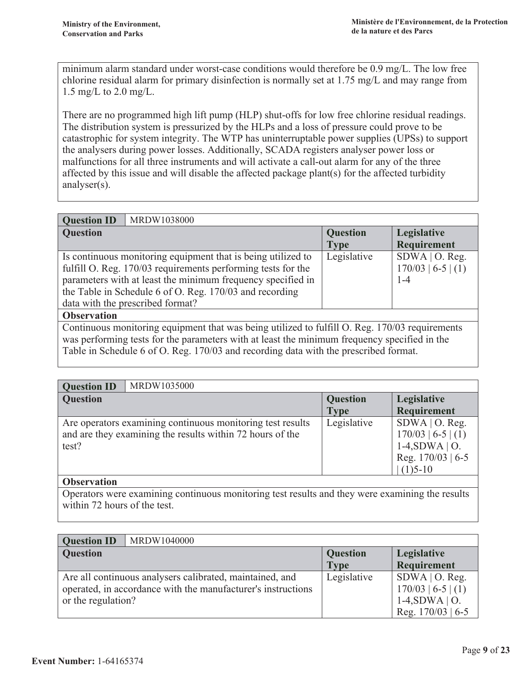minimum alarm standard under worst-case conditions would therefore be 0.9 mg/L. The low free chlorine residual alarm for primary disinfection is normally set at 1.75 mg/L and may range from 1.5 mg/L to 2.0 mg/L.

There are no programmed high lift pump (HLP) shut-offs for low free chlorine residual readings. The distribution system is pressurized by the HLPs and a loss of pressure could prove to be catastrophic for system integrity. The WTP has uninterruptable power supplies (UPSs) to support the analysers during power losses. Additionally, SCADA registers analyser power loss or malfunctions for all three instruments and will activate a call-out alarm for any of the three affected by this issue and will disable the affected package plant(s) for the affected turbidity analyser $(s)$ .

| MRDW1038000<br><b>Question ID</b>                                                                                                                                                                                                                                                          |                                |                                                     |
|--------------------------------------------------------------------------------------------------------------------------------------------------------------------------------------------------------------------------------------------------------------------------------------------|--------------------------------|-----------------------------------------------------|
| <b>Question</b>                                                                                                                                                                                                                                                                            | <b>Question</b><br><b>Type</b> | Legislative<br>Requirement                          |
| Is continuous monitoring equipment that is being utilized to<br>fulfill O. Reg. 170/03 requirements performing tests for the<br>parameters with at least the minimum frequency specified in<br>the Table in Schedule 6 of O. Reg. 170/03 and recording<br>data with the prescribed format? | Legislative                    | $SDWA$   O. Reg.<br>$170/03$   6-5   (1)<br>$1 - 4$ |
| <b>Observation</b>                                                                                                                                                                                                                                                                         |                                |                                                     |
| Continuous monitoring equipment that was being utilized to fulfill O. Reg. 170/03 requirements                                                                                                                                                                                             |                                |                                                     |

was performing tests for the parameters with at least the minimum frequency specified in the Table in Schedule 6 of O. Reg. 170/03 and recording data with the prescribed format.

| <b>Question ID</b><br>MRDW1035000                                                                                                |                                |                                                                                                   |
|----------------------------------------------------------------------------------------------------------------------------------|--------------------------------|---------------------------------------------------------------------------------------------------|
| <b>Question</b>                                                                                                                  | <b>Question</b><br><b>Type</b> | Legislative<br>Requirement                                                                        |
| Are operators examining continuous monitoring test results<br>and are they examining the results within 72 hours of the<br>test? | Legislative                    | $SDWA$   O. Reg.<br>$170/03$   6-5   (1)<br>$1-4, SDWA \mid O.$<br>Reg. 170/03   6-5<br>$(1)5-10$ |

#### **Observation**

Operators were examining continuous monitoring test results and they were examining the results within 72 hours of the test.

| <b>Question ID</b>                                           | MRDW1040000                                              |                 |                      |
|--------------------------------------------------------------|----------------------------------------------------------|-----------------|----------------------|
| <b>Question</b>                                              |                                                          | <b>Question</b> | Legislative          |
|                                                              |                                                          | <b>Type</b>     | Requirement          |
|                                                              | Are all continuous analysers calibrated, maintained, and | Legislative     | $SDWA$   O. Reg.     |
| operated, in accordance with the manufacturer's instructions |                                                          |                 | $170/03$   6-5   (1) |
| or the regulation?                                           |                                                          |                 | $1-4, SDWA \mid O.$  |
|                                                              |                                                          |                 | Reg. $170/03$   6-5  |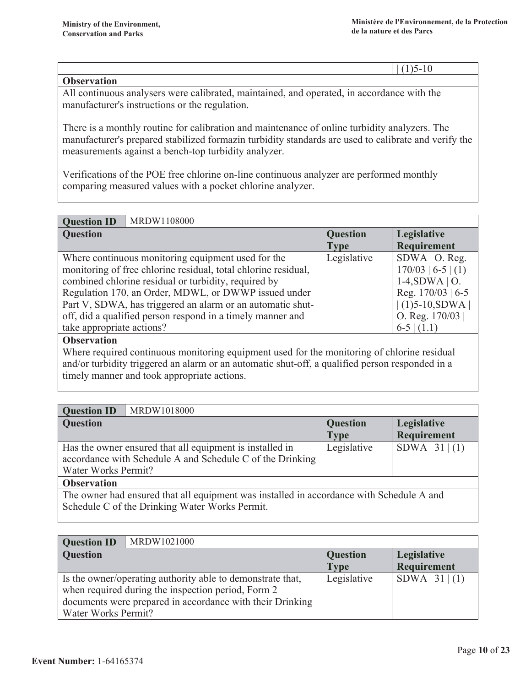| $\sim$ $\sim$ $\sim$<br>$\mathbf{v}$ as<br>$\cdots$ . We see a |  |  |
|----------------------------------------------------------------|--|--|

All continuous analysers were calibrated, maintained, and operated, in accordance with the manufacturer's instructions or the regulation.

There is a monthly routine for calibration and maintenance of online turbidity analyzers. The manufacturer's prepared stabilized formazin turbidity standards are used to calibrate and verify the measurements against a bench-top turbidity analyzer.

Verifications of the POE free chlorine on-line continuous analyzer are performed monthly comparing measured values with a pocket chlorine analyzer.

| MRDW1108000<br><b>Question ID</b>                              |                 |                      |
|----------------------------------------------------------------|-----------------|----------------------|
| <b>Question</b>                                                | <b>Question</b> | Legislative          |
|                                                                | <b>Type</b>     | <b>Requirement</b>   |
| Where continuous monitoring equipment used for the             | Legislative     | $SDWA$   O. Reg.     |
| monitoring of free chlorine residual, total chlorine residual, |                 | $170/03$   6-5   (1) |
| combined chlorine residual or turbidity, required by           |                 | $1-4, SDWA \mid O.$  |
| Regulation 170, an Order, MDWL, or DWWP issued under           |                 | Reg. $170/03$   6-5  |
| Part V, SDWA, has triggered an alarm or an automatic shut-     |                 | $(1)5-10, SDWA$      |
| off, did a qualified person respond in a timely manner and     |                 | O. Reg. $170/03$     |
| take appropriate actions?                                      |                 | $6-5$ (1.1)          |

**Observation** 

Where required continuous monitoring equipment used for the monitoring of chlorine residual and/or turbidity triggered an alarm or an automatic shut-off, a qualified person responded in a timely manner and took appropriate actions.

| MRDW1018000<br><b>Question ID</b>                                                                                                                                                                                             |                                |                            |  |
|-------------------------------------------------------------------------------------------------------------------------------------------------------------------------------------------------------------------------------|--------------------------------|----------------------------|--|
| <b>Question</b>                                                                                                                                                                                                               | <b>Question</b><br><b>Type</b> | Legislative<br>Requirement |  |
| Has the owner ensured that all equipment is installed in<br>accordance with Schedule A and Schedule C of the Drinking<br>Water Works Permit?                                                                                  | Legislative                    | SDWA   31   (1)            |  |
| <b>Observation</b>                                                                                                                                                                                                            |                                |                            |  |
| $T11$ 1 1 1 1 1 1 $T$ 1 $T$ 1 1 $T$ 1 1 $T$ 1 1 $T$ 1 1 $T$ 1 1 $T$ 1 1 $T$ 1 1 $T$ 1 1 $T$ 1 1 $T$ 1 1 $T$ 1 1 $T$ 1 1 $T$ 1 1 $T$ 1 1 $T$ 1 1 $T$ 1 1 $T$ 1 1 $T$ 1 1 $T$ 1 1 $T$ 1 1 $T$ 1 1 $T$ 1 1 $T$ 1 1 $T$ 1 1 $T$ 1 |                                |                            |  |

The owner had ensured that all equipment was installed in accordance with Schedule A and Schedule C of the Drinking Water Works Permit.

| <b>Question ID</b>                                        | MRDW1021000                                                |                 |                   |
|-----------------------------------------------------------|------------------------------------------------------------|-----------------|-------------------|
| <b>Question</b>                                           |                                                            | <b>Question</b> | Legislative       |
|                                                           |                                                            | <b>Type</b>     | Requirement       |
|                                                           | Is the owner/operating authority able to demonstrate that, | Legislative     | $SDWA$   31   (1) |
|                                                           | when required during the inspection period, Form 2         |                 |                   |
| documents were prepared in accordance with their Drinking |                                                            |                 |                   |
| Water Works Permit?                                       |                                                            |                 |                   |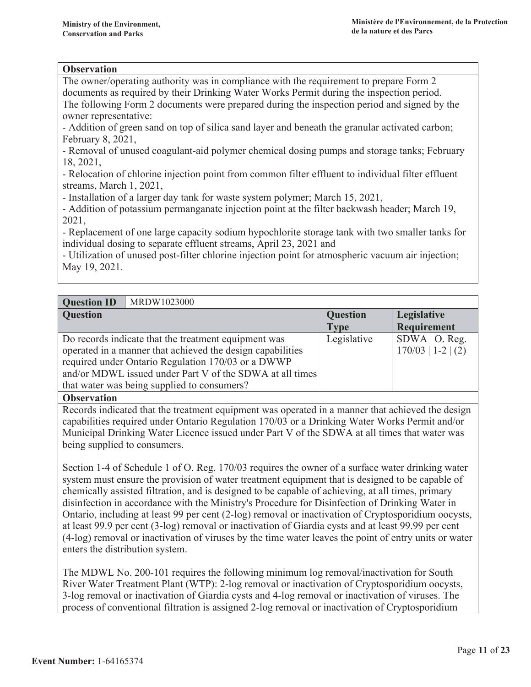#### **Observation**

The owner/operating authority was in compliance with the requirement to prepare Form 2 documents as required by their Drinking Water Works Permit during the inspection period. The following Form 2 documents were prepared during the inspection period and signed by the owner representative:

- Addition of green sand on top of silica sand layer and beneath the granular activated carbon; February 8, 2021,

- Removal of unused coagulant-aid polymer chemical dosing pumps and storage tanks; February 18, 2021.

- Relocation of chlorine injection point from common filter effluent to individual filter effluent streams, March 1, 2021,

- Installation of a larger day tank for waste system polymer; March 15, 2021,

- Addition of potassium permanganate injection point at the filter backwash header; March 19, 2021.

- Replacement of one large capacity sodium hypochlorite storage tank with two smaller tanks for individual dosing to separate effluent streams, April 23, 2021 and

- Utilization of unused post-filter chlorine injection point for atmospheric vacuum air injection; May 19, 2021.

#### **Ouestion ID** MRDW1023000

| $\sim$ accepted in                                         |                 |                      |
|------------------------------------------------------------|-----------------|----------------------|
| Question                                                   | <b>Question</b> | Legislative          |
|                                                            | <b>Type</b>     | Requirement          |
| Do records indicate that the treatment equipment was       | Legislative     | $SDWA$   O. Reg.     |
| operated in a manner that achieved the design capabilities |                 | $170/03$   1-2   (2) |
| required under Ontario Regulation 170/03 or a DWWP         |                 |                      |
| and/or MDWL issued under Part V of the SDWA at all times   |                 |                      |
| that water was being supplied to consumers?                |                 |                      |
|                                                            |                 |                      |

**Observation** 

Records indicated that the treatment equipment was operated in a manner that achieved the design capabilities required under Ontario Regulation 170/03 or a Drinking Water Works Permit and/or Municipal Drinking Water Licence issued under Part V of the SDWA at all times that water was being supplied to consumers.

Section 1-4 of Schedule 1 of O. Reg. 170/03 requires the owner of a surface water drinking water system must ensure the provision of water treatment equipment that is designed to be capable of chemically assisted filtration, and is designed to be capable of achieving, at all times, primary disinfection in accordance with the Ministry's Procedure for Disinfection of Drinking Water in Ontario, including at least 99 per cent (2-log) removal or inactivation of Cryptosporidium oocysts, at least 99.9 per cent (3-log) removal or inactivation of Giardia cysts and at least 99.99 per cent (4-log) removal or inactivation of viruses by the time water leaves the point of entry units or water enters the distribution system.

The MDWL No. 200-101 requires the following minimum log removal/inactivation for South River Water Treatment Plant (WTP): 2-log removal or inactivation of Cryptosporidium oocysts, 3-log removal or inactivation of Giardia cysts and 4-log removal or inactivation of viruses. The process of conventional filtration is assigned 2-log removal or inactivation of Cryptosporidium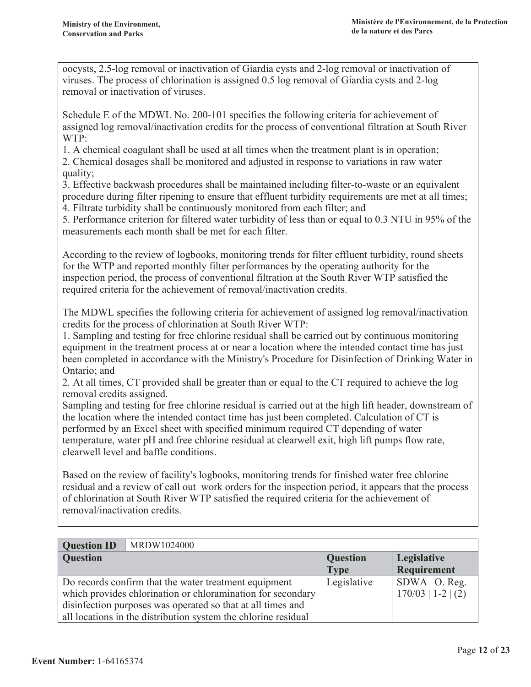oocysts, 2.5-log removal or inactivation of Giardia cysts and 2-log removal or inactivation of viruses. The process of chlorination is assigned 0.5 log removal of Giardia cysts and 2-log removal or inactivation of viruses.

Schedule E of the MDWL No. 200-101 specifies the following criteria for achievement of assigned log removal/inactivation credits for the process of conventional filtration at South River WTP:

1. A chemical coagulant shall be used at all times when the treatment plant is in operation;

2. Chemical dosages shall be monitored and adjusted in response to variations in raw water quality;

3. Effective backwash procedures shall be maintained including filter-to-waste or an equivalent procedure during filter ripening to ensure that effluent turbidity requirements are met at all times;

4. Filtrate turbidity shall be continuously monitored from each filter; and

5. Performance criterion for filtered water turbidity of less than or equal to 0.3 NTU in 95% of the measurements each month shall be met for each filter.

According to the review of logbooks, monitoring trends for filter effluent turbidity, round sheets for the WTP and reported monthly filter performances by the operating authority for the inspection period, the process of conventional filtration at the South River WTP satisfied the required criteria for the achievement of removal/inactivation credits.

The MDWL specifies the following criteria for achievement of assigned log removal/inactivation credits for the process of chlorination at South River WTP:

1. Sampling and testing for free chlorine residual shall be carried out by continuous monitoring equipment in the treatment process at or near a location where the intended contact time has just been completed in accordance with the Ministry's Procedure for Disinfection of Drinking Water in Ontario: and

2. At all times, CT provided shall be greater than or equal to the CT required to achieve the log removal credits assigned.

Sampling and testing for free chlorine residual is carried out at the high lift header, downstream of the location where the intended contact time has just been completed. Calculation of CT is performed by an Excel sheet with specified minimum required CT depending of water temperature, water pH and free chlorine residual at clearwell exit, high lift pumps flow rate, clearwell level and baffle conditions.

Based on the review of facility's logbooks, monitoring trends for finished water free chlorine residual and a review of call out work orders for the inspection period, it appears that the process of chlorination at South River WTP satisfied the required criteria for the achievement of removal/inactivation credits.

| <b>Question ID</b> | MRDW1024000                                                    |                 |                      |
|--------------------|----------------------------------------------------------------|-----------------|----------------------|
| <b>Question</b>    |                                                                | <b>Question</b> | Legislative          |
|                    |                                                                | <b>Type</b>     | Requirement          |
|                    | Do records confirm that the water treatment equipment          | Legislative     | $SDWA$   O. Reg.     |
|                    | which provides chlorination or chloramination for secondary    |                 | $170/03$   1-2   (2) |
|                    | disinfection purposes was operated so that at all times and    |                 |                      |
|                    | all locations in the distribution system the chlorine residual |                 |                      |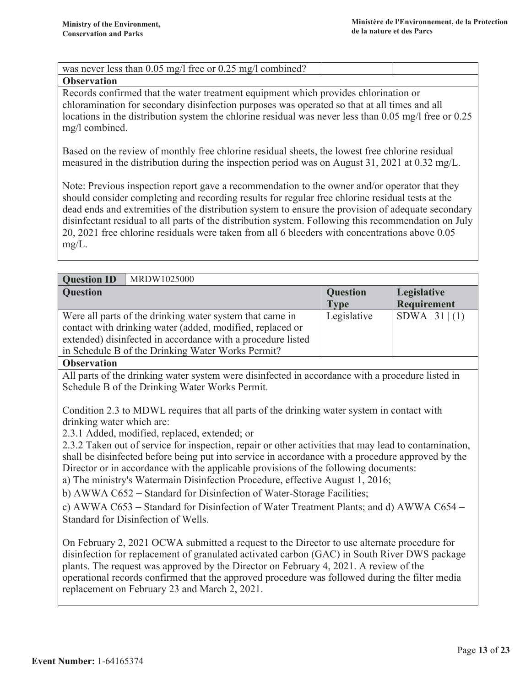| was never less than $0.05 \text{ mg/l}$ free or $0.25 \text{ mg/l}$ combined? |  |
|-------------------------------------------------------------------------------|--|
|                                                                               |  |

#### **Observation**

Records confirmed that the water treatment equipment which provides chlorination or chloramination for secondary disinfection purposes was operated so that at all times and all locations in the distribution system the chlorine residual was never less than 0.05 mg/l free or 0.25 mg/l combined.

Based on the review of monthly free chlorine residual sheets, the lowest free chlorine residual measured in the distribution during the inspection period was on August 31, 2021 at 0.32 mg/L.

Note: Previous inspection report gave a recommendation to the owner and/or operator that they should consider completing and recording results for regular free chlorine residual tests at the dead ends and extremities of the distribution system to ensure the provision of adequate secondary disinfectant residual to all parts of the distribution system. Following this recommendation on July 20, 2021 free chlorine residuals were taken from all 6 bleeders with concentrations above 0.05  $mg/L$ .

| MRDW1025000<br><b>Question ID</b>                           |                 |                    |
|-------------------------------------------------------------|-----------------|--------------------|
| <b>Question</b>                                             | <b>Question</b> | Legislative        |
|                                                             | <b>Type</b>     | <b>Requirement</b> |
| Were all parts of the drinking water system that came in    | Legislative     | SDWA   31   (1)    |
| contact with drinking water (added, modified, replaced or   |                 |                    |
| extended) disinfected in accordance with a procedure listed |                 |                    |
| in Schedule B of the Drinking Water Works Permit?           |                 |                    |

#### **Observation**

All parts of the drinking water system were disinfected in accordance with a procedure listed in Schedule B of the Drinking Water Works Permit.

Condition 2.3 to MDWL requires that all parts of the drinking water system in contact with drinking water which are:

2.3.1 Added, modified, replaced, extended; or

2.3.2 Taken out of service for inspection, repair or other activities that may lead to contamination, shall be disinfected before being put into service in accordance with a procedure approved by the Director or in accordance with the applicable provisions of the following documents:

a) The ministry's Watermain Disinfection Procedure, effective August 1, 2016;

b) AWWA C652 – Standard for Disinfection of Water-Storage Facilities;

c) AWWA C653 – Standard for Disinfection of Water Treatment Plants; and d) AWWA C654 – Standard for Disinfection of Wells.

On February 2, 2021 OCWA submitted a request to the Director to use alternate procedure for disinfection for replacement of granulated activated carbon (GAC) in South River DWS package plants. The request was approved by the Director on February 4, 2021. A review of the operational records confirmed that the approved procedure was followed during the filter media replacement on February 23 and March 2, 2021.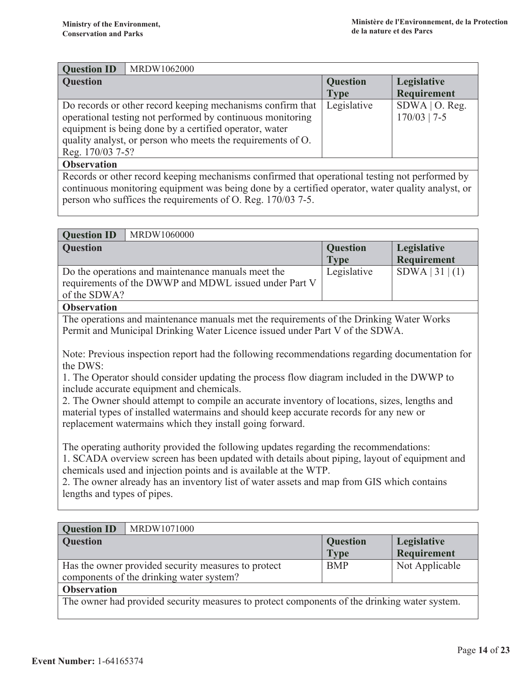| <b>Question ID</b>                                         | MRDW1062000                                                 |                 |                  |
|------------------------------------------------------------|-------------------------------------------------------------|-----------------|------------------|
| <b>Question</b>                                            |                                                             | <b>Question</b> | Legislative      |
|                                                            |                                                             | <b>Type</b>     | Requirement      |
|                                                            | Do records or other record keeping mechanisms confirm that  | Legislative     | $SDWA$   O. Reg. |
| operational testing not performed by continuous monitoring |                                                             |                 | $170/03$   7-5   |
| equipment is being done by a certified operator, water     |                                                             |                 |                  |
|                                                            | quality analyst, or person who meets the requirements of O. |                 |                  |
| Reg. 170/03 7-5?                                           |                                                             |                 |                  |
| <b>Observation</b>                                         |                                                             |                 |                  |

Records or other record keeping mechanisms confirmed that operational testing not performed by continuous monitoring equipment was being done by a certified operator, water quality analyst, or person who suffices the requirements of O. Reg. 170/03 7-5.

| <b>Question ID</b><br>MRDW1060000                                                                                                                                                                                                                                                                                                                                                      |                         |                            |  |
|----------------------------------------------------------------------------------------------------------------------------------------------------------------------------------------------------------------------------------------------------------------------------------------------------------------------------------------------------------------------------------------|-------------------------|----------------------------|--|
| <b>Question</b>                                                                                                                                                                                                                                                                                                                                                                        | Question<br><b>Type</b> | Legislative<br>Requirement |  |
| Do the operations and maintenance manuals meet the                                                                                                                                                                                                                                                                                                                                     | Legislative             | SDWA   31   (1)            |  |
| requirements of the DWWP and MDWL issued under Part V                                                                                                                                                                                                                                                                                                                                  |                         |                            |  |
| of the SDWA?                                                                                                                                                                                                                                                                                                                                                                           |                         |                            |  |
| <b>Observation</b>                                                                                                                                                                                                                                                                                                                                                                     |                         |                            |  |
| The operations and maintenance manuals met the requirements of the Drinking Water Works<br>Permit and Municipal Drinking Water Licence issued under Part V of the SDWA.                                                                                                                                                                                                                |                         |                            |  |
| Note: Previous inspection report had the following recommendations regarding documentation for<br>the DWS:<br>1. The Operator should consider updating the process flow diagram included in the DWWP to                                                                                                                                                                                |                         |                            |  |
| include accurate equipment and chemicals.<br>2. The Owner should attempt to compile an accurate inventory of locations, sizes, lengths and<br>material types of installed watermains and should keep accurate records for any new or<br>replacement watermains which they install going forward.                                                                                       |                         |                            |  |
| The operating authority provided the following updates regarding the recommendations:<br>1. SCADA overview screen has been updated with details about piping, layout of equipment and<br>chemicals used and injection points and is available at the WTP.<br>2. The owner already has an inventory list of water assets and map from GIS which contains<br>lengths and types of pipes. |                         |                            |  |

| <b>Question ID</b>                                                                           | MRDW1071000                                         |                 |                    |
|----------------------------------------------------------------------------------------------|-----------------------------------------------------|-----------------|--------------------|
| <b>Question</b>                                                                              |                                                     | <b>Question</b> | Legislative        |
|                                                                                              |                                                     | <b>Type</b>     | <b>Requirement</b> |
|                                                                                              | Has the owner provided security measures to protect | <b>BMP</b>      | Not Applicable     |
| components of the drinking water system?                                                     |                                                     |                 |                    |
| <b>Observation</b>                                                                           |                                                     |                 |                    |
| The owner had provided security measures to protect components of the drinking water system. |                                                     |                 |                    |
|                                                                                              |                                                     |                 |                    |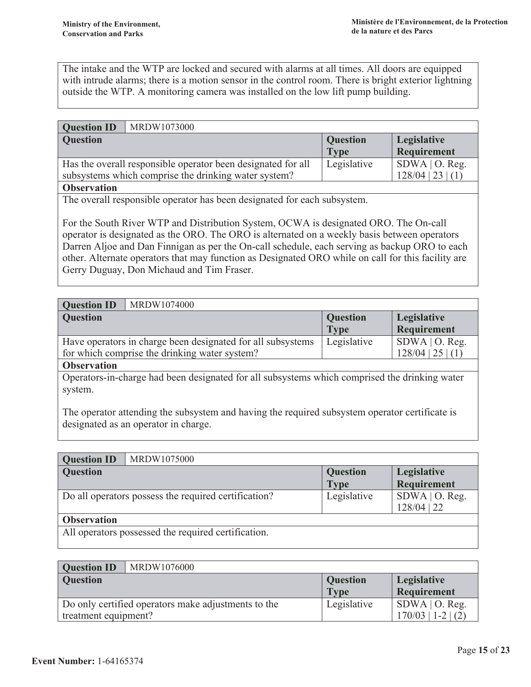The intake and the WTP are locked and secured with alarms at all times. All doors are equipped with intrude alarms; there is a motion sensor in the control room. There is bright exterior lightning outside the WTP. A monitoring camera was installed on the low lift pump building.

| <b>Question ID</b>                                   | MRDW1073000                                                  |                 |                     |
|------------------------------------------------------|--------------------------------------------------------------|-----------------|---------------------|
| <b>Question</b>                                      |                                                              | <b>Question</b> | Legislative         |
|                                                      |                                                              | <b>Type</b>     | Requirement         |
|                                                      | Has the overall responsible operator been designated for all | Legislative     | $SDWA$   O. Reg.    |
| subsystems which comprise the drinking water system? |                                                              |                 | $128/04$   23   (1) |
| <b>Observation</b>                                   |                                                              |                 |                     |

The overall responsible operator has been designated for each subsystem.

For the South River WTP and Distribution System, OCWA is designated ORO. The On-call operator is designated as the ORO. The ORO is alternated on a weekly basis between operators Darren Aljoe and Dan Finnigan as per the On-call schedule, each serving as backup ORO to each other. Alternate operators that may function as Designated ORO while on call for this facility are Gerry Duguay, Don Michaud and Tim Fraser.

| <b>Question ID</b><br>MRDW1074000                                          |                 |                  |
|----------------------------------------------------------------------------|-----------------|------------------|
| <b>Question</b>                                                            | <b>Question</b> | Legislative      |
|                                                                            | <b>Type</b>     | Requirement      |
| Legislative<br>Have operators in charge been designated for all subsystems |                 | $SDWA$   O. Reg. |
| $128/04$   25   (1)<br>for which comprise the drinking water system?       |                 |                  |
| <b>Observation</b>                                                         |                 |                  |

Operators-in-charge had been designated for all subsystems which comprised the drinking water system.

The operator attending the subsystem and having the required subsystem operator certificate is designated as an operator in charge.

| MRDW1075000<br><b>Question ID</b>                    |                 |                  |  |
|------------------------------------------------------|-----------------|------------------|--|
| <b>Question</b>                                      | <b>Question</b> | Legislative      |  |
|                                                      | <b>Type</b>     | Requirement      |  |
| Do all operators possess the required certification? | Legislative     | $SDWA$   O. Reg. |  |
|                                                      |                 | $128/04$   22    |  |
| <b>Observation</b>                                   |                 |                  |  |
| All operators possessed the required certification.  |                 |                  |  |

| <b>Question ID</b>   | MRDW1076000                                         |                 |                      |
|----------------------|-----------------------------------------------------|-----------------|----------------------|
| <b>Question</b>      |                                                     | <b>Question</b> | Legislative          |
|                      |                                                     | <b>Type</b>     | Requirement          |
|                      | Do only certified operators make adjustments to the | Legislative     | $SDWA$   O. Reg.     |
| treatment equipment? |                                                     |                 | $170/03$   1-2   (2) |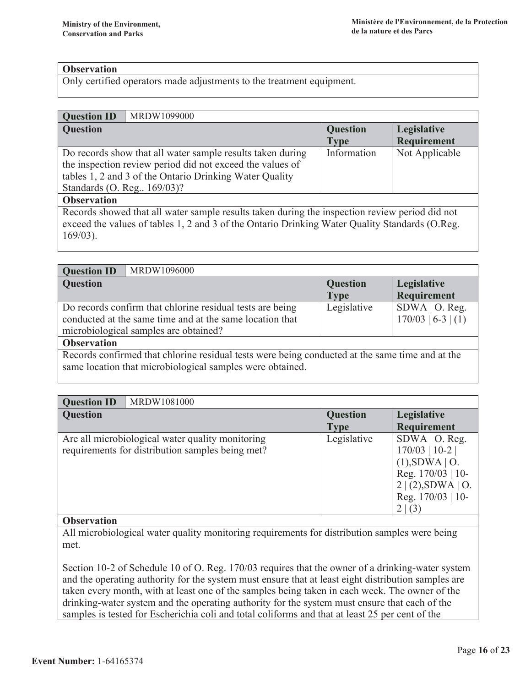#### **Observation**

Only certified operators made adjustments to the treatment equipment.

#### **Ouestion ID** MRDW1099000

| <b>Question</b>                                            | <b>Question</b> | Legislative    |
|------------------------------------------------------------|-----------------|----------------|
|                                                            | <b>Type</b>     | Requirement    |
| Do records show that all water sample results taken during | Information     | Not Applicable |
| the inspection review period did not exceed the values of  |                 |                |
| tables 1, 2 and 3 of the Ontario Drinking Water Quality    |                 |                |
| Standards (O. Reg., 169/03)?                               |                 |                |
| <b>Observation</b>                                         |                 |                |

Records showed that all water sample results taken during the inspection review period did not exceed the values of tables 1, 2 and 3 of the Ontario Drinking Water Quality Standards (O.Reg.  $169/03$ ).

| MRDW1096000<br><b>Question ID</b>                                                                                                                              |                                |                                          |
|----------------------------------------------------------------------------------------------------------------------------------------------------------------|--------------------------------|------------------------------------------|
| <b>Question</b>                                                                                                                                                | <b>Question</b><br><b>Type</b> | Legislative<br>Requirement               |
| Do records confirm that chlorine residual tests are being<br>conducted at the same time and at the same location that<br>microbiological samples are obtained? | Legislative                    | $SDWA$   O. Reg.<br>$170/03$   6-3   (1) |
| <b>Observation</b>                                                                                                                                             |                                |                                          |

Records confirmed that chlorine residual tests were being conducted at the same time and at the same location that microbiological samples were obtained.

| <b>Question ID</b> | MRDW1081000                                                                                          |                                |                                                                                                                         |
|--------------------|------------------------------------------------------------------------------------------------------|--------------------------------|-------------------------------------------------------------------------------------------------------------------------|
| <b>Question</b>    |                                                                                                      | <b>Question</b><br><b>Type</b> | Legislative<br><b>Requirement</b>                                                                                       |
|                    | Are all microbiological water quality monitoring<br>requirements for distribution samples being met? | Legislative                    | $SDWA$   O. Reg.<br>$170/03$   10-2  <br>$(1)$ , SDWA   O.<br>Reg. 170/03   10-<br>2 (2),SDWA 0.<br>Reg. $170/03$   10- |

#### **Observation**

All microbiological water quality monitoring requirements for distribution samples were being met.

Section 10-2 of Schedule 10 of O. Reg. 170/03 requires that the owner of a drinking-water system and the operating authority for the system must ensure that at least eight distribution samples are taken every month, with at least one of the samples being taken in each week. The owner of the drinking-water system and the operating authority for the system must ensure that each of the samples is tested for Escherichia coli and total coliforms and that at least 25 per cent of the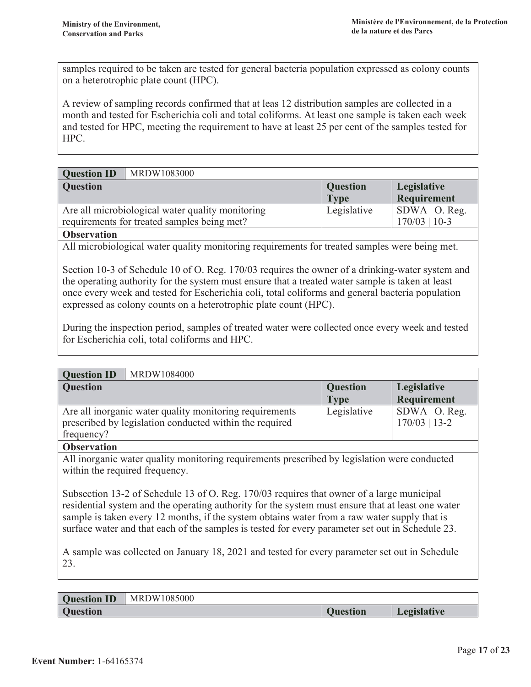samples required to be taken are tested for general bacteria population expressed as colony counts on a heterotrophic plate count (HPC).

A review of sampling records confirmed that at leas 12 distribution samples are collected in a month and tested for Escherichia coli and total coliforms. At least one sample is taken each week and tested for HPC, meeting the requirement to have at least 25 per cent of the samples tested for HPC.

| <b>Question ID</b>                          | MRDW1083000                                      |                 |                  |
|---------------------------------------------|--------------------------------------------------|-----------------|------------------|
| <b>Question</b>                             |                                                  | <b>Question</b> | Legislative      |
|                                             |                                                  | <b>Type</b>     | Requirement      |
|                                             | Are all microbiological water quality monitoring | Legislative     | $SDWA$   O. Reg. |
| requirements for treated samples being met? |                                                  |                 | $170/03$   10-3  |
| $\mathbf{a}$ $\mathbf{a}$                   |                                                  |                 |                  |

#### **Observation**

All microbiological water quality monitoring requirements for treated samples were being met.

Section 10-3 of Schedule 10 of O. Reg. 170/03 requires the owner of a drinking-water system and the operating authority for the system must ensure that a treated water sample is taken at least once every week and tested for Escherichia coli, total coliforms and general bacteria population expressed as colony counts on a heterotrophic plate count (HPC).

During the inspection period, samples of treated water were collected once every week and tested for Escherichia coli, total coliforms and HPC.

| <b>Question ID</b> | MRDW1084000                                                                                                        |                                |                                     |
|--------------------|--------------------------------------------------------------------------------------------------------------------|--------------------------------|-------------------------------------|
| <b>Question</b>    |                                                                                                                    | <b>Question</b><br><b>Type</b> | Legislative<br>Requirement          |
| frequency?         | Are all inorganic water quality monitoring requirements<br>prescribed by legislation conducted within the required | Legislative                    | $SDWA$   O. Reg.<br>$170/03$   13-2 |

#### **Observation**

All inorganic water quality monitoring requirements prescribed by legislation were conducted within the required frequency.

Subsection 13-2 of Schedule 13 of O. Reg. 170/03 requires that owner of a large municipal residential system and the operating authority for the system must ensure that at least one water sample is taken every 12 months, if the system obtains water from a raw water supply that is surface water and that each of the samples is tested for every parameter set out in Schedule 23.

A sample was collected on January 18, 2021 and tested for every parameter set out in Schedule 23.

**Question ID** MRDW1085000 **Ouestion** 

**Question** Legislative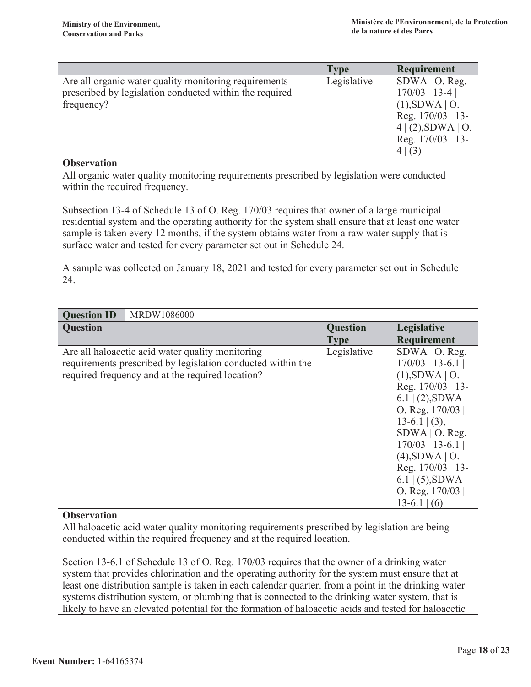|                                                                                                                                | Type        | Requirement                                                                                                                          |  |
|--------------------------------------------------------------------------------------------------------------------------------|-------------|--------------------------------------------------------------------------------------------------------------------------------------|--|
| Are all organic water quality monitoring requirements<br>prescribed by legislation conducted within the required<br>frequency? | Legislative | $SDWA$   O. Reg.<br>$170/03$   13-4  <br>$(1)$ , SDWA   O.<br>Reg. 170/03   13-<br>$4 (2)$ , SDWA   O.<br>Reg. 170/03   13-<br>4 (3) |  |
| <b>Observation</b>                                                                                                             |             |                                                                                                                                      |  |
| All organic water quality monitoring requirements prescribed by legislation were conducted<br>within the required frequency.   |             |                                                                                                                                      |  |
|                                                                                                                                |             |                                                                                                                                      |  |

Subsection 13-4 of Schedule 13 of O. Reg. 170/03 requires that owner of a large municipal residential system and the operating authority for the system shall ensure that at least one water sample is taken every 12 months, if the system obtains water from a raw water supply that is surface water and tested for every parameter set out in Schedule 24.

A sample was collected on January 18, 2021 and tested for every parameter set out in Schedule 24.

| MRDW1086000<br><b>Question ID</b>                                                                                                                                   |                                |                                                                                                                                                                                                                                                                                           |
|---------------------------------------------------------------------------------------------------------------------------------------------------------------------|--------------------------------|-------------------------------------------------------------------------------------------------------------------------------------------------------------------------------------------------------------------------------------------------------------------------------------------|
| <b>Question</b>                                                                                                                                                     | <b>Question</b><br><b>Type</b> | Legislative<br>Requirement                                                                                                                                                                                                                                                                |
| Are all haloacetic acid water quality monitoring<br>requirements prescribed by legislation conducted within the<br>required frequency and at the required location? | Legislative                    | $SDWA$   O. Reg.<br>$170/03$   13-6.1  <br>$(1)$ , SDWA   O.<br>Reg. 170/03   13-<br>$6.1$ (2), SDWA<br>O. Reg. $170/03$<br>$13-6.1$ (3),<br>$SDWA$   O. Reg.<br>$170/03$   13-6.1  <br>$(4)$ , SDWA   O.<br>Reg. 170/03   13-<br>$6.1$   (5), SDWA  <br>O. Reg. $170/03$<br>$13-6.1$ (6) |

#### **Observation**

All haloacetic acid water quality monitoring requirements prescribed by legislation are being conducted within the required frequency and at the required location.

Section 13-6.1 of Schedule 13 of O. Reg. 170/03 requires that the owner of a drinking water system that provides chlorination and the operating authority for the system must ensure that at least one distribution sample is taken in each calendar quarter, from a point in the drinking water systems distribution system, or plumbing that is connected to the drinking water system, that is likely to have an elevated potential for the formation of haloacetic acids and tested for haloacetic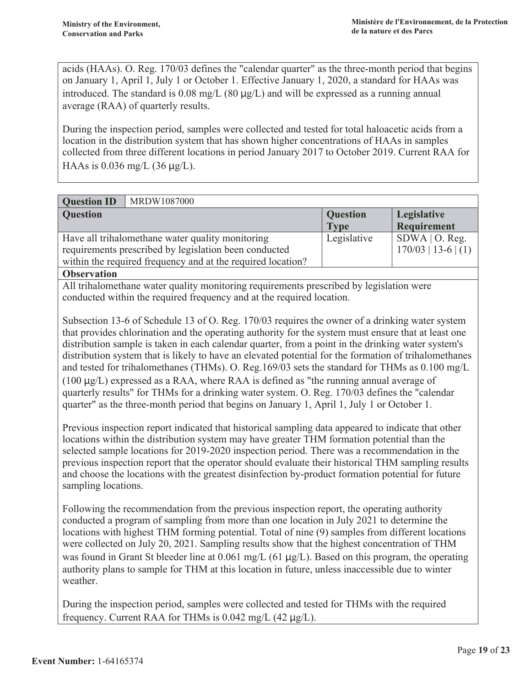acids (HAAs). O. Reg. 170/03 defines the "calendar quarter" as the three-month period that begins on January 1, April 1, July 1 or October 1. Effective January 1, 2020, a standard for HAAs was introduced. The standard is 0.08 mg/L (80  $\mu$ g/L) and will be expressed as a running annual average (RAA) of quarterly results.

During the inspection period, samples were collected and tested for total haloacetic acids from a location in the distribution system that has shown higher concentrations of HAAs in samples collected from three different locations in period January 2017 to October 2019. Current RAA for HAAs is 0.036 mg/L (36  $\mu$ g/L).

| MRDW1087000<br><b>Question ID</b>                           |                 |                       |
|-------------------------------------------------------------|-----------------|-----------------------|
| <b>Question</b>                                             | <b>Question</b> | Legislative           |
|                                                             | <b>Type</b>     | Requirement           |
| Have all trihalomethane water quality monitoring            | Legislative     | $SDWA$   O. Reg.      |
| requirements prescribed by legislation been conducted       |                 | $170/03$   13-6   (1) |
| within the required frequency and at the required location? |                 |                       |

**Observation** 

All trihalomethane water quality monitoring requirements prescribed by legislation were conducted within the required frequency and at the required location.

Subsection 13-6 of Schedule 13 of O. Reg. 170/03 requires the owner of a drinking water system that provides chlorination and the operating authority for the system must ensure that at least one distribution sample is taken in each calendar quarter, from a point in the drinking water system's distribution system that is likely to have an elevated potential for the formation of trihalomethanes and tested for trihalomethanes (THMs). O. Reg.169/03 sets the standard for THMs as 0.100 mg/L  $(100 \mu g/L)$  expressed as a RAA, where RAA is defined as "the running annual average of quarterly results" for THMs for a drinking water system. O. Reg. 170/03 defines the "calendar" quarter" as the three-month period that begins on January 1, April 1, July 1 or October 1.

Previous inspection report indicated that historical sampling data appeared to indicate that other locations within the distribution system may have greater THM formation potential than the selected sample locations for 2019-2020 inspection period. There was a recommendation in the previous inspection report that the operator should evaluate their historical THM sampling results and choose the locations with the greatest disinfection by-product formation potential for future sampling locations.

Following the recommendation from the previous inspection report, the operating authority conducted a program of sampling from more than one location in July 2021 to determine the locations with highest THM forming potential. Total of nine (9) samples from different locations were collected on July 20, 2021. Sampling results show that the highest concentration of THM was found in Grant St bleeder line at 0.061 mg/L (61  $\mu$ g/L). Based on this program, the operating authority plans to sample for THM at this location in future, unless inaccessible due to winter weather.

During the inspection period, samples were collected and tested for THMs with the required frequency. Current RAA for THMs is  $0.042 \text{ mg/L}$  (42  $\mu$ g/L).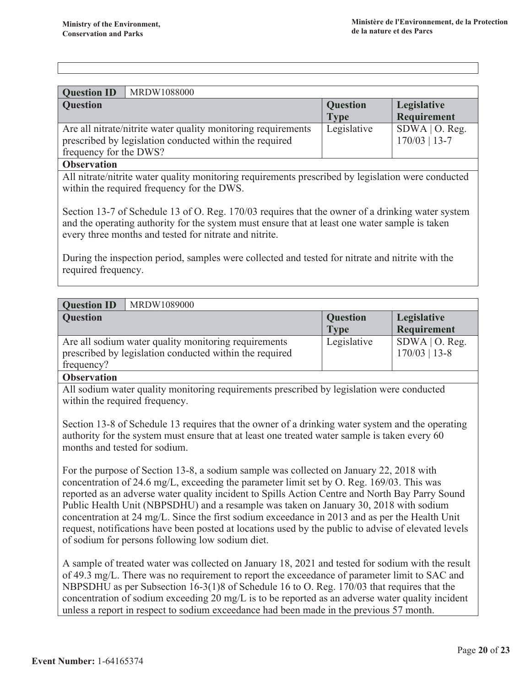| <b>Question ID</b><br>MRDW1088000                             |                 |                  |
|---------------------------------------------------------------|-----------------|------------------|
| <b>Question</b>                                               | <b>Question</b> | Legislative      |
|                                                               | <b>Type</b>     | Requirement      |
| Are all nitrate/nitrite water quality monitoring requirements | Legislative     | $SDWA$   O. Reg. |
| prescribed by legislation conducted within the required       |                 | $170/03$   13-7  |
| frequency for the DWS?                                        |                 |                  |
| $\sim$ $\sim$                                                 |                 |                  |

#### **Observation**

All nitrate/nitrite water quality monitoring requirements prescribed by legislation were conducted within the required frequency for the DWS.

Section 13-7 of Schedule 13 of O. Reg. 170/03 requires that the owner of a drinking water system and the operating authority for the system must ensure that at least one water sample is taken every three months and tested for nitrate and nitrite.

During the inspection period, samples were collected and tested for nitrate and nitrite with the required frequency.

| <b>Question ID</b><br>MRDW1089000                                                                                             |                                |                                     |
|-------------------------------------------------------------------------------------------------------------------------------|--------------------------------|-------------------------------------|
| <b>Question</b>                                                                                                               | <b>Question</b><br><b>Type</b> | Legislative<br>Requirement          |
| Are all sodium water quality monitoring requirements<br>prescribed by legislation conducted within the required<br>frequency? | Legislative                    | $SDWA$   O. Reg.<br>$170/03$   13-8 |
| $\bigcap$                                                                                                                     |                                |                                     |

#### **Observation**

All sodium water quality monitoring requirements prescribed by legislation were conducted within the required frequency.

Section 13-8 of Schedule 13 requires that the owner of a drinking water system and the operating authority for the system must ensure that at least one treated water sample is taken every 60 months and tested for sodium.

For the purpose of Section 13-8, a sodium sample was collected on January 22, 2018 with concentration of 24.6 mg/L, exceeding the parameter limit set by O. Reg. 169/03. This was reported as an adverse water quality incident to Spills Action Centre and North Bay Parry Sound Public Health Unit (NBPSDHU) and a resample was taken on January 30, 2018 with sodium concentration at 24 mg/L. Since the first sodium exceedance in 2013 and as per the Health Unit request, notifications have been posted at locations used by the public to advise of elevated levels of sodium for persons following low sodium diet.

A sample of treated water was collected on January 18, 2021 and tested for sodium with the result of 49.3 mg/L. There was no requirement to report the exceedance of parameter limit to SAC and NBPSDHU as per Subsection 16-3(1)8 of Schedule 16 to O. Reg. 170/03 that requires that the concentration of sodium exceeding 20 mg/L is to be reported as an adverse water quality incident unless a report in respect to sodium exceedance had been made in the previous 57 month.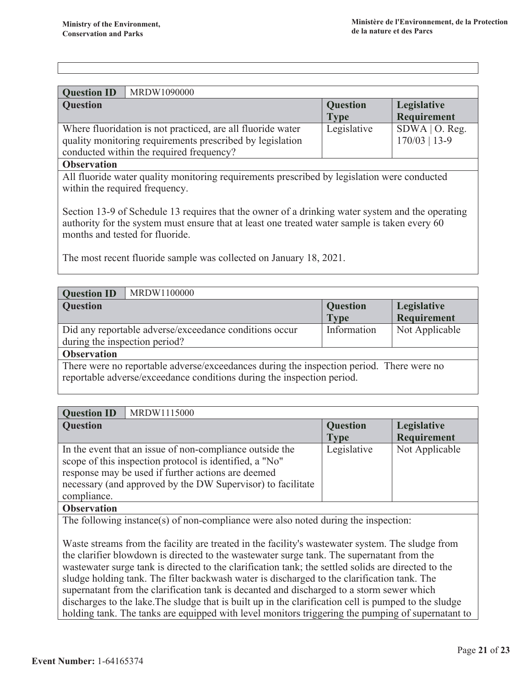| <b>Question ID</b> | MRDW1090000                                                                                                                                                          |                                |                                     |
|--------------------|----------------------------------------------------------------------------------------------------------------------------------------------------------------------|--------------------------------|-------------------------------------|
| <b>Question</b>    |                                                                                                                                                                      | <b>Question</b><br><b>Type</b> | Legislative<br>Requirement          |
|                    | Where fluoridation is not practiced, are all fluoride water<br>quality monitoring requirements prescribed by legislation<br>conducted within the required frequency? | Legislative                    | $SDWA$   O. Reg.<br>$170/03$   13-9 |

#### **Observation**

All fluoride water quality monitoring requirements prescribed by legislation were conducted within the required frequency.

Section 13-9 of Schedule 13 requires that the owner of a drinking water system and the operating authority for the system must ensure that at least one treated water sample is taken every 60 months and tested for fluoride.

The most recent fluoride sample was collected on January 18, 2021.

| MRDW1100000<br><b>Question ID</b>                                                                                                                                  |                                |                                   |  |  |
|--------------------------------------------------------------------------------------------------------------------------------------------------------------------|--------------------------------|-----------------------------------|--|--|
| <b>Question</b>                                                                                                                                                    | <b>Question</b><br><b>Type</b> | Legislative<br><b>Requirement</b> |  |  |
| Did any reportable adverse/exceedance conditions occur<br>during the inspection period?                                                                            | Information                    | Not Applicable                    |  |  |
| <b>Observation</b>                                                                                                                                                 |                                |                                   |  |  |
| There were no reportable adverse/exceedances during the inspection period. There were no<br>reportable adverse/exceedance conditions during the inspection period. |                                |                                   |  |  |

| <b>Question ID</b> | MRDW1115000                                                 |                 |                |  |  |
|--------------------|-------------------------------------------------------------|-----------------|----------------|--|--|
| <b>Question</b>    |                                                             | <b>Question</b> | Legislative    |  |  |
|                    |                                                             | <b>Type</b>     | Requirement    |  |  |
|                    | In the event that an issue of non-compliance outside the    | Legislative     | Not Applicable |  |  |
|                    | scope of this inspection protocol is identified, a "No"     |                 |                |  |  |
|                    | response may be used if further actions are deemed          |                 |                |  |  |
|                    | necessary (and approved by the DW Supervisor) to facilitate |                 |                |  |  |
| compliance.        |                                                             |                 |                |  |  |
|                    |                                                             |                 |                |  |  |

#### **Observation**

The following instance(s) of non-compliance were also noted during the inspection:

Waste streams from the facility are treated in the facility's wastewater system. The sludge from the clarifier blowdown is directed to the wastewater surge tank. The supernation from the was tewater surge tank is directed to the clarification tank; the settled solids are directed to the sludge holding tank. The filter backwash water is discharged to the clarification tank. The supernatant from the clarification tank is decanted and discharged to a storm sewer which discharges to the lake. The sludge that is built up in the clarification cell is pumped to the sludge holding tank. The tanks are equipped with level monitors triggering the pumping of supernatant to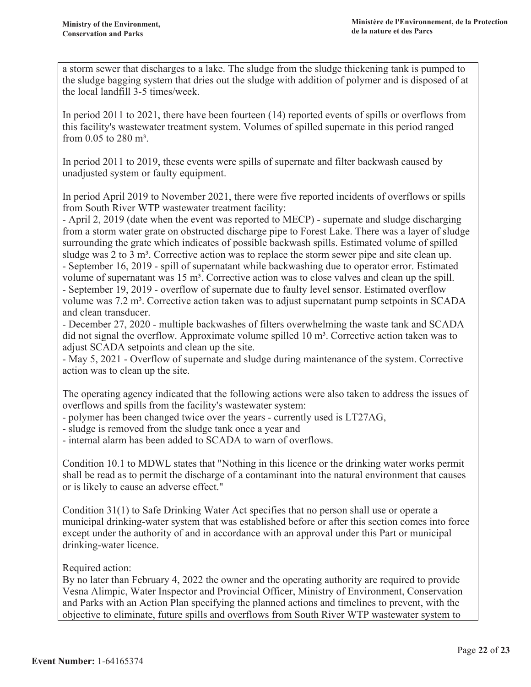a storm sewer that discharges to a lake. The sludge from the sludge thickening tank is pumped to the sludge bagging system that dries out the sludge with addition of polymer and is disposed of at the local landfill 3-5 times/week.

In period 2011 to 2021, there have been fourteen  $(14)$  reported events of spills or overflows from this facility's wastewater treatment system. Volumes of spilled supernate in this period ranged from 0.05 to 280  $m^3$ .

In period 2011 to 2019, these events were spills of supernate and filter backwash caused by unadjusted system or faulty equipment.

In period April 2019 to November 2021, there were five reported incidents of overflows or spills from South River WTP wastewater treatment facility:

- April 2, 2019 (date when the event was reported to MECP) - supernate and sludge discharging from a storm water grate on obstructed discharge pipe to Forest Lake. There was a layer of sludge surrounding the grate which indicates of possible backwash spills. Estimated volume of spilled sludge was 2 to 3  $m<sup>3</sup>$ . Corrective action was to replace the storm sewer pipe and site clean up. - September 16, 2019 - spill of supernatant while backwashing due to operator error. Estimated volume of supernatant was  $15 \text{ m}^3$ . Corrective action was to close valves and clean up the spill. - September 19, 2019 - overflow of supernate due to faulty level sensor. Estimated overflow volume was 7.2 m<sup>3</sup>. Corrective action taken was to adjust supernation pump setpoints in SCADA and clean transducer.

- December 27, 2020 - multiple backwashes of filters overwhelming the waste tank and SCADA did not signal the overflow. Approximate volume spilled  $10 \text{ m}^3$ . Corrective action taken was to adjust SCADA setpoints and clean up the site.

- May 5, 2021 - Overflow of supernate and sludge during maintenance of the system. Corrective action was to clean up the site.

The operating agency indicated that the following actions were also taken to address the issues of overflows and spills from the facility's wastewater system:

- polymer has been changed twice over the years - currently used is LT27AG,

- sludge is removed from the sludge tank once a year and

- internal alarm has been added to SCADA to warn of overflows.

Condition 10.1 to MDWL states that "Nothing in this licence or the drinking water works permit shall be read as to permit the discharge of a contaminant into the natural environment that causes or is likely to cause an adverse effect."

Condition 31(1) to Safe Drinking Water Act specifies that no person shall use or operate a municipal drinking-water system that was established before or after this section comes into force except under the authority of and in accordance with an approval under this Part or municipal drinking-water licence.

#### Required action:

By no later than February 4, 2022 the owner and the operating authority are required to provide Vesna Alimpic, Water Inspector and Provincial Officer, Ministry of Environment, Conservation and Parks with an Action Plan specifying the planned actions and timelines to prevent, with the objective to eliminate, future spills and overflows from South River WTP wastewater system to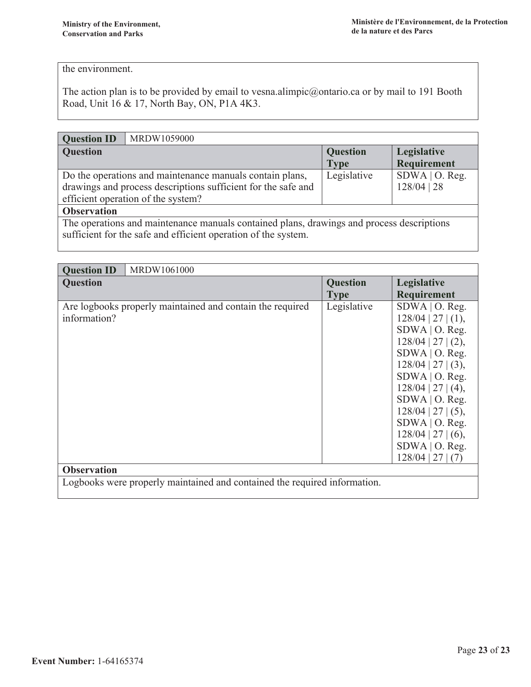#### the environment.

The action plan is to be provided by email to vesna.alimpic@ontario.ca or by mail to 191 Booth Road, Unit 16 & 17, North Bay, ON, P1A 4K3.

| <b>Question ID</b> | MRDW1059000                                                                                                                                                     |                                |                                   |
|--------------------|-----------------------------------------------------------------------------------------------------------------------------------------------------------------|--------------------------------|-----------------------------------|
| <b>Question</b>    |                                                                                                                                                                 | <b>Question</b><br><b>Type</b> | Legislative<br>Requirement        |
|                    | Do the operations and maintenance manuals contain plans,<br>drawings and process descriptions sufficient for the safe and<br>efficient operation of the system? | Legislative                    | $SDWA$   O. Reg.<br>$128/04$   28 |
| <b>Observation</b> |                                                                                                                                                                 |                                |                                   |
|                    | The operations and maintenance manuals contained plans, drawings and process descriptions<br>sufficient for the safe and efficient operation of the system.     |                                |                                   |

| <b>Question ID</b>                                                        | MRDW1061000                                               |                 |                                                                                                                                                                                                                                                                  |  |  |
|---------------------------------------------------------------------------|-----------------------------------------------------------|-----------------|------------------------------------------------------------------------------------------------------------------------------------------------------------------------------------------------------------------------------------------------------------------|--|--|
| <b>Question</b>                                                           |                                                           | <b>Question</b> | Legislative                                                                                                                                                                                                                                                      |  |  |
|                                                                           |                                                           | <b>Type</b>     | Requirement                                                                                                                                                                                                                                                      |  |  |
| information?                                                              | Are logbooks properly maintained and contain the required | Legislative     | $SDWA$   O. Reg.<br>$128/04$   27   (1),<br>$SDWA$   O. Reg.<br>$128/04$   27   (2),<br>$SDWA$   O. Reg.<br>$128/04$   27   (3),<br>SDWA   O. Reg.<br>$128/04$   27   (4),<br>$SDWA$   O. Reg.<br>$128/04$   27   (5),<br>SDWA   O. Reg.<br>$128/04$   27   (6), |  |  |
|                                                                           |                                                           |                 | $SDWA$   O. Reg.<br>$128/04$   27   (7)                                                                                                                                                                                                                          |  |  |
| <b>Observation</b>                                                        |                                                           |                 |                                                                                                                                                                                                                                                                  |  |  |
| Logbooks were properly maintained and contained the required information. |                                                           |                 |                                                                                                                                                                                                                                                                  |  |  |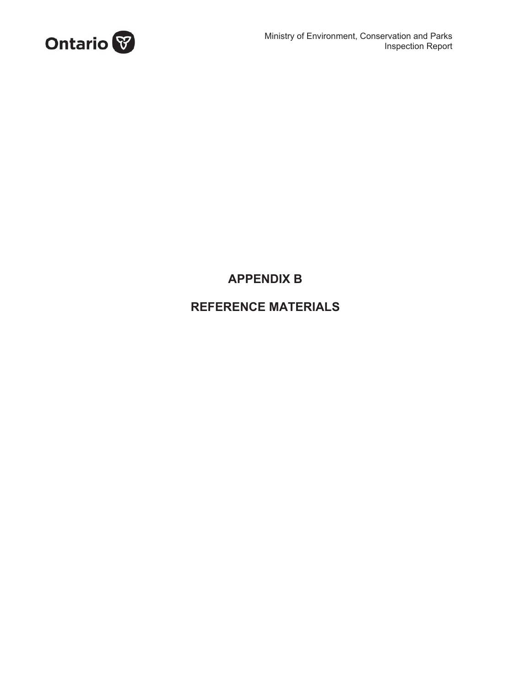

### **APPENDIX B**

### **REFERENCE MATERIALS**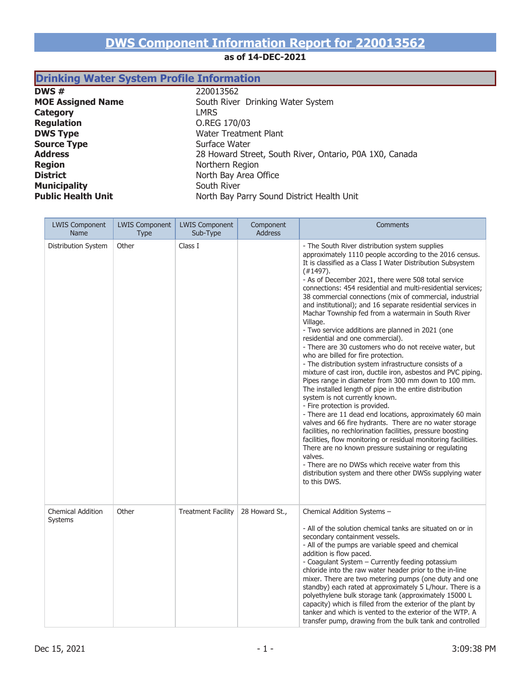# **DWS Component Information Report for 220013562**

#### **as of 14-DEC-2021**

### **Drinking Water System Profile Information**

**DWS #** 220013562 **Category** LMRS<br> **Regulation** C.REC **DWS Type**<br> **Source Type**<br> **Surface Water**<br>
Surface Water **Source Type District** North Bay Area Office **Municipality**<br> **Public Health Unit**<br> **Public Health Unit** 

**MOE Assigned Name** South River Drinking Water System **Regulation** O.REG 170/03 Address<br> **Address**<br> **Address**<br> **Address**<br> **Address**<br> **Address**<br> **Address**<br> **Address**<br> **Address**<br> **Address**<br> **Address**<br> **Address**<br> **Address**<br> **Address**<br> **Address**<br> **Address**<br> **Address**<br> **Address**<br> **Address**<br> **Address**<br> **Add Region** Northern Region **Public Health Unit** North Bay Parry Sound District Health Unit

| <b>LWIS Component</b><br>Name              | <b>LWIS Component</b><br><b>Type</b> | <b>LWIS Component</b><br>Sub-Type | Component<br><b>Address</b> | Comments                                                                                                                                                                                                                                                                                                                                                                                                                                                                                                                                                                                                                                                                                                                                                                                                                                                                                                                                                                                                                                                                                                                                                                                                                                                                                                                                                                                                                                                                        |
|--------------------------------------------|--------------------------------------|-----------------------------------|-----------------------------|---------------------------------------------------------------------------------------------------------------------------------------------------------------------------------------------------------------------------------------------------------------------------------------------------------------------------------------------------------------------------------------------------------------------------------------------------------------------------------------------------------------------------------------------------------------------------------------------------------------------------------------------------------------------------------------------------------------------------------------------------------------------------------------------------------------------------------------------------------------------------------------------------------------------------------------------------------------------------------------------------------------------------------------------------------------------------------------------------------------------------------------------------------------------------------------------------------------------------------------------------------------------------------------------------------------------------------------------------------------------------------------------------------------------------------------------------------------------------------|
| Distribution System                        | Other                                | Class I                           |                             | - The South River distribution system supplies<br>approximately 1110 people according to the 2016 census.<br>It is classified as a Class I Water Distribution Subsystem<br>$(+1497).$<br>- As of December 2021, there were 508 total service<br>connections: 454 residential and multi-residential services;<br>38 commercial connections (mix of commercial, industrial<br>and institutional); and 16 separate residential services in<br>Machar Township fed from a watermain in South River<br>Village.<br>- Two service additions are planned in 2021 (one<br>residential and one commercial).<br>- There are 30 customers who do not receive water, but<br>who are billed for fire protection.<br>- The distribution system infrastructure consists of a<br>mixture of cast iron, ductile iron, asbestos and PVC piping.<br>Pipes range in diameter from 300 mm down to 100 mm.<br>The installed length of pipe in the entire distribution<br>system is not currently known.<br>- Fire protection is provided.<br>- There are 11 dead end locations, approximately 60 main<br>valves and 66 fire hydrants. There are no water storage<br>facilities, no rechlorination facilities, pressure boosting<br>facilities, flow monitoring or residual monitoring facilities.<br>There are no known pressure sustaining or regulating<br>valves.<br>- There are no DWSs which receive water from this<br>distribution system and there other DWSs supplying water<br>to this DWS. |
| <b>Chemical Addition</b><br><b>Systems</b> | Other                                | <b>Treatment Facility</b>         | 28 Howard St.,              | Chemical Addition Systems -<br>- All of the solution chemical tanks are situated on or in<br>secondary containment vessels.<br>- All of the pumps are variable speed and chemical<br>addition is flow paced.<br>- Coagulant System - Currently feeding potassium<br>chloride into the raw water header prior to the in-line<br>mixer. There are two metering pumps (one duty and one<br>standby) each rated at approximately 5 L/hour. There is a<br>polyethylene bulk storage tank (approximately 15000 L<br>capacity) which is filled from the exterior of the plant by<br>tanker and which is vented to the exterior of the WTP. A<br>transfer pump, drawing from the bulk tank and controlled                                                                                                                                                                                                                                                                                                                                                                                                                                                                                                                                                                                                                                                                                                                                                                               |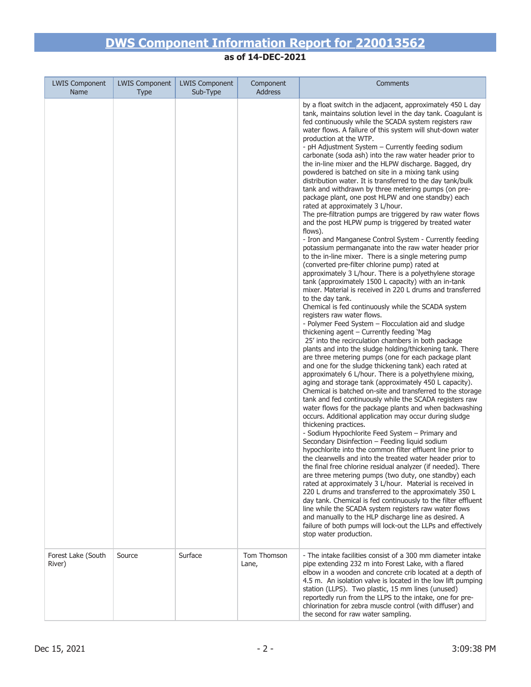| <b>LWIS Component</b><br><b>Name</b> | <b>LWIS Component</b><br><b>Type</b> | <b>LWIS Component</b><br>Sub-Type | Component<br><b>Address</b> | Comments                                                                                                                                                                                                                                                                                                                                                                                                                                                                                                                                                                                                                                                                                                                                                                                                                                                                                                                                                                                                                                                                                                                                                                                                                                                                                                                                                                                                                                                                                                                                                                                                                                                                                                                                                                                                                                                                                                                                                                                                                                                                                                                                                                                                                                                                                                                                                                                                                                                                                                                                                                                                                                                                                                                                                                                                                                                                           |
|--------------------------------------|--------------------------------------|-----------------------------------|-----------------------------|------------------------------------------------------------------------------------------------------------------------------------------------------------------------------------------------------------------------------------------------------------------------------------------------------------------------------------------------------------------------------------------------------------------------------------------------------------------------------------------------------------------------------------------------------------------------------------------------------------------------------------------------------------------------------------------------------------------------------------------------------------------------------------------------------------------------------------------------------------------------------------------------------------------------------------------------------------------------------------------------------------------------------------------------------------------------------------------------------------------------------------------------------------------------------------------------------------------------------------------------------------------------------------------------------------------------------------------------------------------------------------------------------------------------------------------------------------------------------------------------------------------------------------------------------------------------------------------------------------------------------------------------------------------------------------------------------------------------------------------------------------------------------------------------------------------------------------------------------------------------------------------------------------------------------------------------------------------------------------------------------------------------------------------------------------------------------------------------------------------------------------------------------------------------------------------------------------------------------------------------------------------------------------------------------------------------------------------------------------------------------------------------------------------------------------------------------------------------------------------------------------------------------------------------------------------------------------------------------------------------------------------------------------------------------------------------------------------------------------------------------------------------------------------------------------------------------------------------------------------------------------|
|                                      |                                      |                                   |                             | by a float switch in the adjacent, approximately 450 L day<br>tank, maintains solution level in the day tank. Coagulant is<br>fed continuously while the SCADA system registers raw<br>water flows. A failure of this system will shut-down water<br>production at the WTP.<br>- pH Adjustment System - Currently feeding sodium<br>carbonate (soda ash) into the raw water header prior to<br>the in-line mixer and the HLPW discharge. Bagged, dry<br>powdered is batched on site in a mixing tank using<br>distribution water. It is transferred to the day tank/bulk<br>tank and withdrawn by three metering pumps (on pre-<br>package plant, one post HLPW and one standby) each<br>rated at approximately 3 L/hour.<br>The pre-filtration pumps are triggered by raw water flows<br>and the post HLPW pump is triggered by treated water<br>flows).<br>- Iron and Manganese Control System - Currently feeding<br>potassium permanganate into the raw water header prior<br>to the in-line mixer. There is a single metering pump<br>(converted pre-filter chlorine pump) rated at<br>approximately 3 L/hour. There is a polyethylene storage<br>tank (approximately 1500 L capacity) with an in-tank<br>mixer. Material is received in 220 L drums and transferred<br>to the day tank.<br>Chemical is fed continuously while the SCADA system<br>registers raw water flows.<br>- Polymer Feed System - Flocculation aid and sludge<br>thickening agent - Currently feeding 'Mag<br>25' into the recirculation chambers in both package<br>plants and into the sludge holding/thickening tank. There<br>are three metering pumps (one for each package plant<br>and one for the sludge thickening tank) each rated at<br>approximately 6 L/hour. There is a polyethylene mixing,<br>aging and storage tank (approximately 450 L capacity).<br>Chemical is batched on-site and transferred to the storage<br>tank and fed continuously while the SCADA registers raw<br>water flows for the package plants and when backwashing<br>occurs. Additional application may occur during sludge<br>thickening practices.<br>- Sodium Hypochlorite Feed System - Primary and<br>Secondary Disinfection - Feeding liquid sodium<br>hypochlorite into the common filter effluent line prior to<br>the clearwells and into the treated water header prior to<br>the final free chlorine residual analyzer (if needed). There<br>are three metering pumps (two duty, one standby) each<br>rated at approximately 3 L/hour. Material is received in<br>220 L drums and transferred to the approximately 350 L<br>day tank. Chemical is fed continuously to the filter effluent<br>line while the SCADA system registers raw water flows<br>and manually to the HLP discharge line as desired. A<br>failure of both pumps will lock-out the LLPs and effectively<br>stop water production. |
| Forest Lake (South<br>River)         | Source                               | Surface                           | Tom Thomson<br>Lane,        | - The intake facilities consist of a 300 mm diameter intake<br>pipe extending 232 m into Forest Lake, with a flared<br>elbow in a wooden and concrete crib located at a depth of<br>4.5 m. An isolation valve is located in the low lift pumping<br>station (LLPS). Two plastic, 15 mm lines (unused)<br>reportedly run from the LLPS to the intake, one for pre-<br>chlorination for zebra muscle control (with diffuser) and<br>the second for raw water sampling.                                                                                                                                                                                                                                                                                                                                                                                                                                                                                                                                                                                                                                                                                                                                                                                                                                                                                                                                                                                                                                                                                                                                                                                                                                                                                                                                                                                                                                                                                                                                                                                                                                                                                                                                                                                                                                                                                                                                                                                                                                                                                                                                                                                                                                                                                                                                                                                                               |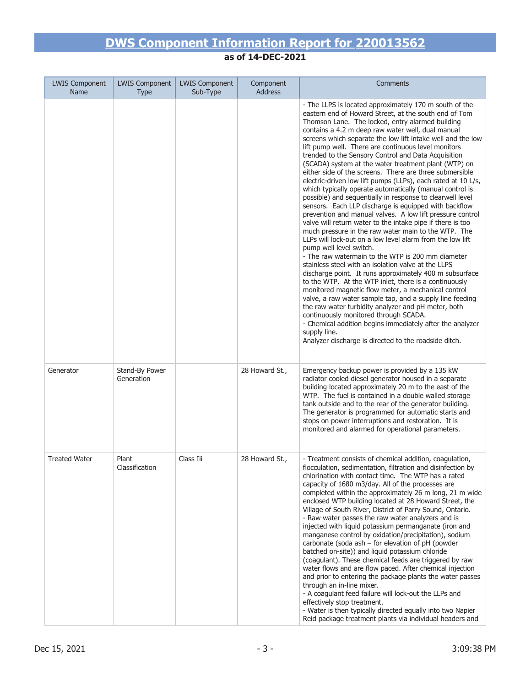| <b>LWIS Component</b><br><b>Name</b> | <b>LWIS Component</b><br><b>Type</b> | <b>LWIS Component</b><br>Sub-Type | Component<br><b>Address</b> | Comments                                                                                                                                                                                                                                                                                                                                                                                                                                                                                                                                                                                                                                                                                                                                                                                                                                                                                                                                                                                                                                                                                                                                                                                                                                                                                                                                                                                                                                                                                                                                                                                                                                      |
|--------------------------------------|--------------------------------------|-----------------------------------|-----------------------------|-----------------------------------------------------------------------------------------------------------------------------------------------------------------------------------------------------------------------------------------------------------------------------------------------------------------------------------------------------------------------------------------------------------------------------------------------------------------------------------------------------------------------------------------------------------------------------------------------------------------------------------------------------------------------------------------------------------------------------------------------------------------------------------------------------------------------------------------------------------------------------------------------------------------------------------------------------------------------------------------------------------------------------------------------------------------------------------------------------------------------------------------------------------------------------------------------------------------------------------------------------------------------------------------------------------------------------------------------------------------------------------------------------------------------------------------------------------------------------------------------------------------------------------------------------------------------------------------------------------------------------------------------|
|                                      |                                      |                                   |                             | - The LLPS is located approximately 170 m south of the<br>eastern end of Howard Street, at the south end of Tom<br>Thomson Lane. The locked, entry alarmed building<br>contains a 4.2 m deep raw water well, dual manual<br>screens which separate the low lift intake well and the low<br>lift pump well. There are continuous level monitors<br>trended to the Sensory Control and Data Acquisition<br>(SCADA) system at the water treatment plant (WTP) on<br>either side of the screens. There are three submersible<br>electric-driven low lift pumps (LLPs), each rated at 10 L/s,<br>which typically operate automatically (manual control is<br>possible) and sequentially in response to clearwell level<br>sensors. Each LLP discharge is equipped with backflow<br>prevention and manual valves. A low lift pressure control<br>valve will return water to the intake pipe if there is too<br>much pressure in the raw water main to the WTP. The<br>LLPs will lock-out on a low level alarm from the low lift<br>pump well level switch.<br>- The raw watermain to the WTP is 200 mm diameter<br>stainless steel with an isolation valve at the LLPS<br>discharge point. It runs approximately 400 m subsurface<br>to the WTP. At the WTP inlet, there is a continuously<br>monitored magnetic flow meter, a mechanical control<br>valve, a raw water sample tap, and a supply line feeding<br>the raw water turbidity analyzer and pH meter, both<br>continuously monitored through SCADA.<br>- Chemical addition begins immediately after the analyzer<br>supply line.<br>Analyzer discharge is directed to the roadside ditch. |
| Generator                            | Stand-By Power<br>Generation         |                                   | 28 Howard St.,              | Emergency backup power is provided by a 135 kW<br>radiator cooled diesel generator housed in a separate<br>building located approximately 20 m to the east of the<br>WTP. The fuel is contained in a double walled storage<br>tank outside and to the rear of the generator building.<br>The generator is programmed for automatic starts and<br>stops on power interruptions and restoration. It is<br>monitored and alarmed for operational parameters.                                                                                                                                                                                                                                                                                                                                                                                                                                                                                                                                                                                                                                                                                                                                                                                                                                                                                                                                                                                                                                                                                                                                                                                     |
| <b>Treated Water</b>                 | Plant<br>Classification              | Class Iii                         | 28 Howard St.,              | - Treatment consists of chemical addition, coagulation,<br>flocculation, sedimentation, filtration and disinfection by<br>chlorination with contact time. The WTP has a rated<br>capacity of 1680 m3/day. All of the processes are<br>completed within the approximately 26 m long, 21 m wide<br>enclosed WTP building located at 28 Howard Street, the<br>Village of South River, District of Parry Sound, Ontario.<br>- Raw water passes the raw water analyzers and is<br>injected with liquid potassium permanganate (iron and<br>manganese control by oxidation/precipitation), sodium<br>carbonate (soda ash - for elevation of pH (powder<br>batched on-site)) and liquid potassium chloride<br>(coagulant). These chemical feeds are triggered by raw<br>water flows and are flow paced. After chemical injection<br>and prior to entering the package plants the water passes<br>through an in-line mixer.<br>- A coagulant feed failure will lock-out the LLPs and<br>effectively stop treatment.<br>- Water is then typically directed equally into two Napier<br>Reid package treatment plants via individual headers and                                                                                                                                                                                                                                                                                                                                                                                                                                                                                                         |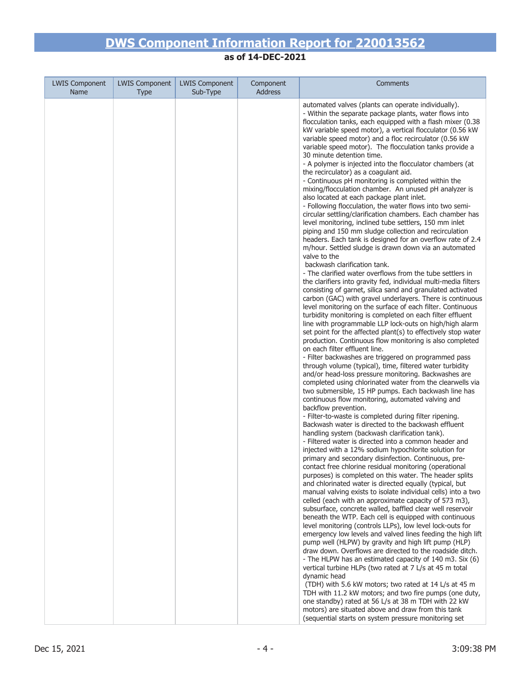| <b>LWIS Component</b> | <b>LWIS Component</b> | <b>LWIS Component</b> | Component      | Comments                                                                                                                                                                                                                                                                                                                                                                                                                                                                                                                                                                                                                                                                                                                                                                                                                                                                                                                                                                                                                                                                                                                                                                                                                                                                                                                                                                                                                                                                                                                                                                                                                                                                                                                                                                                                                                                                                                                                                                                                                                                                                                                                                                                                                                                                                                                                                                                                                                                                                                                                                                                                                                                                                                                                                                                                                                                                                                                                                                                                                                                                                                                                                                                                                                                                                                                                                                                                                                                                                                                                 |
|-----------------------|-----------------------|-----------------------|----------------|------------------------------------------------------------------------------------------------------------------------------------------------------------------------------------------------------------------------------------------------------------------------------------------------------------------------------------------------------------------------------------------------------------------------------------------------------------------------------------------------------------------------------------------------------------------------------------------------------------------------------------------------------------------------------------------------------------------------------------------------------------------------------------------------------------------------------------------------------------------------------------------------------------------------------------------------------------------------------------------------------------------------------------------------------------------------------------------------------------------------------------------------------------------------------------------------------------------------------------------------------------------------------------------------------------------------------------------------------------------------------------------------------------------------------------------------------------------------------------------------------------------------------------------------------------------------------------------------------------------------------------------------------------------------------------------------------------------------------------------------------------------------------------------------------------------------------------------------------------------------------------------------------------------------------------------------------------------------------------------------------------------------------------------------------------------------------------------------------------------------------------------------------------------------------------------------------------------------------------------------------------------------------------------------------------------------------------------------------------------------------------------------------------------------------------------------------------------------------------------------------------------------------------------------------------------------------------------------------------------------------------------------------------------------------------------------------------------------------------------------------------------------------------------------------------------------------------------------------------------------------------------------------------------------------------------------------------------------------------------------------------------------------------------------------------------------------------------------------------------------------------------------------------------------------------------------------------------------------------------------------------------------------------------------------------------------------------------------------------------------------------------------------------------------------------------------------------------------------------------------------------------------------------------|
| Name                  | Type                  | Sub-Type              | <b>Address</b> |                                                                                                                                                                                                                                                                                                                                                                                                                                                                                                                                                                                                                                                                                                                                                                                                                                                                                                                                                                                                                                                                                                                                                                                                                                                                                                                                                                                                                                                                                                                                                                                                                                                                                                                                                                                                                                                                                                                                                                                                                                                                                                                                                                                                                                                                                                                                                                                                                                                                                                                                                                                                                                                                                                                                                                                                                                                                                                                                                                                                                                                                                                                                                                                                                                                                                                                                                                                                                                                                                                                                          |
|                       |                       |                       |                | automated valves (plants can operate individually).<br>- Within the separate package plants, water flows into<br>flocculation tanks, each equipped with a flash mixer (0.38<br>kW variable speed motor), a vertical flocculator (0.56 kW<br>variable speed motor) and a floc recirculator (0.56 kW<br>variable speed motor). The flocculation tanks provide a<br>30 minute detention time.<br>- A polymer is injected into the flocculator chambers (at<br>the recirculator) as a coagulant aid.<br>- Continuous pH monitoring is completed within the<br>mixing/flocculation chamber. An unused pH analyzer is<br>also located at each package plant inlet.<br>- Following flocculation, the water flows into two semi-<br>circular settling/clarification chambers. Each chamber has<br>level monitoring, inclined tube settlers, 150 mm inlet<br>piping and 150 mm sludge collection and recirculation<br>headers. Each tank is designed for an overflow rate of 2.4<br>m/hour. Settled sludge is drawn down via an automated<br>valve to the<br>backwash clarification tank.<br>- The clarified water overflows from the tube settlers in<br>the clarifiers into gravity fed, individual multi-media filters<br>consisting of garnet, silica sand and granulated activated<br>carbon (GAC) with gravel underlayers. There is continuous<br>level monitoring on the surface of each filter. Continuous<br>turbidity monitoring is completed on each filter effluent<br>line with programmable LLP lock-outs on high/high alarm<br>set point for the affected plant(s) to effectively stop water<br>production. Continuous flow monitoring is also completed<br>on each filter effluent line.<br>- Filter backwashes are triggered on programmed pass<br>through volume (typical), time, filtered water turbidity<br>and/or head-loss pressure monitoring. Backwashes are<br>completed using chlorinated water from the clearwells via<br>two submersible, 15 HP pumps. Each backwash line has<br>continuous flow monitoring, automated valving and<br>backflow prevention.<br>- Filter-to-waste is completed during filter ripening.<br>Backwash water is directed to the backwash effluent<br>handling system (backwash clarification tank).<br>- Filtered water is directed into a common header and<br>injected with a 12% sodium hypochlorite solution for<br>primary and secondary disinfection. Continuous, pre-<br>contact free chlorine residual monitoring (operational<br>purposes) is completed on this water. The header splits<br>and chlorinated water is directed equally (typical, but<br>manual valving exists to isolate individual cells) into a two<br>celled (each with an approximate capacity of 573 m3),<br>subsurface, concrete walled, baffled clear well reservoir<br>beneath the WTP. Each cell is equipped with continuous<br>level monitoring (controls LLPs), low level lock-outs for<br>emergency low levels and valved lines feeding the high lift<br>pump well (HLPW) by gravity and high lift pump (HLP)<br>draw down. Overflows are directed to the roadside ditch.<br>- The HLPW has an estimated capacity of 140 m3. Six (6)<br>vertical turbine HLPs (two rated at 7 L/s at 45 m total<br>dynamic head<br>(TDH) with 5.6 kW motors; two rated at 14 L/s at 45 m<br>TDH with 11.2 kW motors; and two fire pumps (one duty,<br>one standby) rated at 56 L/s at 38 m TDH with 22 kW<br>motors) are situated above and draw from this tank<br>(sequential starts on system pressure monitoring set |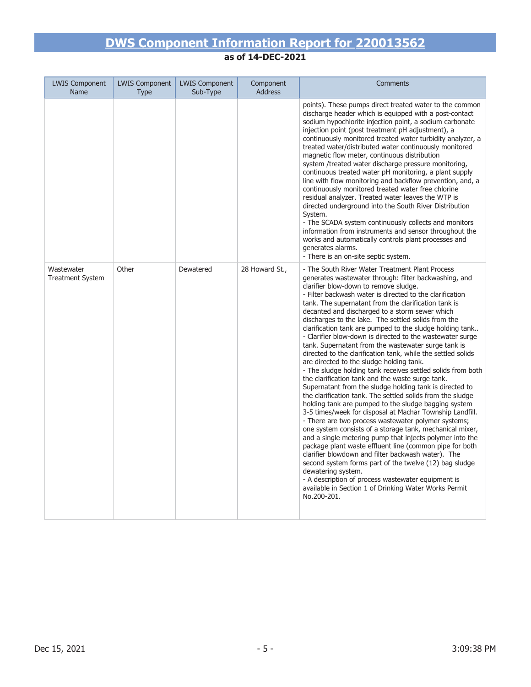| <b>LWIS Component</b><br><b>Name</b>  | <b>LWIS Component</b><br><b>Type</b> | <b>LWIS Component</b><br>Sub-Type | Component<br><b>Address</b> | <b>Comments</b>                                                                                                                                                                                                                                                                                                                                                                                                                                                                                                                                                                                                                                                                                                                                                                                                                                                                                                                                                                                                                                                                                                                                                                                                                                                                                                                                                                                                                                                                                                                                          |
|---------------------------------------|--------------------------------------|-----------------------------------|-----------------------------|----------------------------------------------------------------------------------------------------------------------------------------------------------------------------------------------------------------------------------------------------------------------------------------------------------------------------------------------------------------------------------------------------------------------------------------------------------------------------------------------------------------------------------------------------------------------------------------------------------------------------------------------------------------------------------------------------------------------------------------------------------------------------------------------------------------------------------------------------------------------------------------------------------------------------------------------------------------------------------------------------------------------------------------------------------------------------------------------------------------------------------------------------------------------------------------------------------------------------------------------------------------------------------------------------------------------------------------------------------------------------------------------------------------------------------------------------------------------------------------------------------------------------------------------------------|
|                                       |                                      |                                   |                             | points). These pumps direct treated water to the common<br>discharge header which is equipped with a post-contact<br>sodium hypochlorite injection point, a sodium carbonate<br>injection point (post treatment pH adjustment), a<br>continuously monitored treated water turbidity analyzer, a<br>treated water/distributed water continuously monitored<br>magnetic flow meter, continuous distribution<br>system /treated water discharge pressure monitoring,<br>continuous treated water pH monitoring, a plant supply<br>line with flow monitoring and backflow prevention, and, a<br>continuously monitored treated water free chlorine<br>residual analyzer. Treated water leaves the WTP is<br>directed underground into the South River Distribution<br>System.<br>- The SCADA system continuously collects and monitors<br>information from instruments and sensor throughout the<br>works and automatically controls plant processes and<br>generates alarms.<br>- There is an on-site septic system.                                                                                                                                                                                                                                                                                                                                                                                                                                                                                                                                        |
| Wastewater<br><b>Treatment System</b> | Other                                | Dewatered                         | 28 Howard St.,              | - The South River Water Treatment Plant Process<br>generates wastewater through: filter backwashing, and<br>clarifier blow-down to remove sludge.<br>- Filter backwash water is directed to the clarification<br>tank. The supernatant from the clarification tank is<br>decanted and discharged to a storm sewer which<br>discharges to the lake. The settled solids from the<br>clarification tank are pumped to the sludge holding tank<br>- Clarifier blow-down is directed to the wastewater surge<br>tank. Supernatant from the wastewater surge tank is<br>directed to the clarification tank, while the settled solids<br>are directed to the sludge holding tank.<br>- The sludge holding tank receives settled solids from both<br>the clarification tank and the waste surge tank.<br>Supernatant from the sludge holding tank is directed to<br>the clarification tank. The settled solids from the sludge<br>holding tank are pumped to the sludge bagging system<br>3-5 times/week for disposal at Machar Township Landfill.<br>- There are two process wastewater polymer systems;<br>one system consists of a storage tank, mechanical mixer,<br>and a single metering pump that injects polymer into the<br>package plant waste effluent line (common pipe for both<br>clarifier blowdown and filter backwash water). The<br>second system forms part of the twelve (12) bag sludge<br>dewatering system.<br>- A description of process wastewater equipment is<br>available in Section 1 of Drinking Water Works Permit<br>No.200-201. |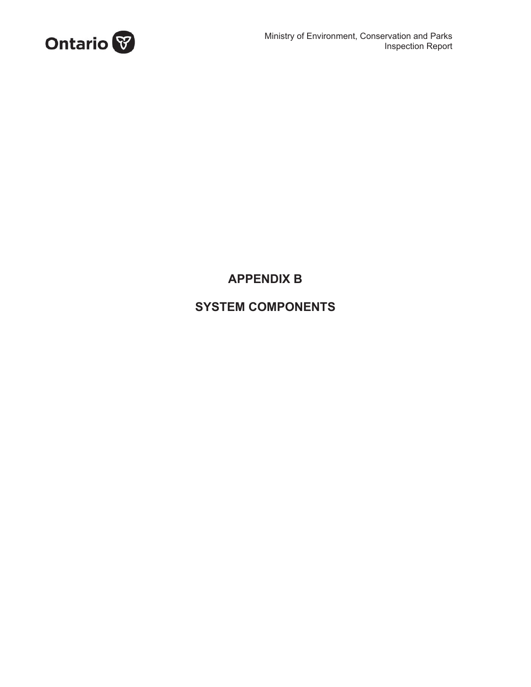

## **APPENDIX B**

### **SYSTEM COMPONENTS**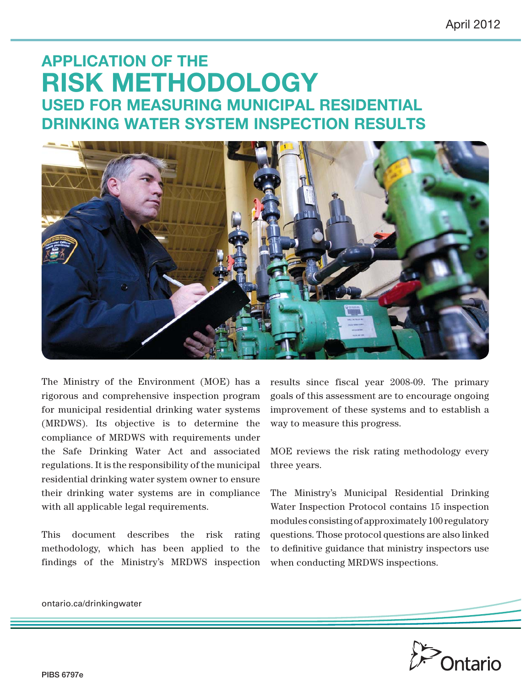# **APPLICATION OF THE RISK METHODOLOGY USED FOR MEASURING MUNICIPAL RESIDENTIAL DRINKING WATER SYSTEM INSPECTION RESULTS**



The Ministry of the Environment (MOE) has a rigorous and comprehensive inspection program for municipal residential drinking water systems (MRDWS). Its objective is to determine the compliance of MRDWS with requirements under the Safe Drinking Water Act and associated regulations. It is the responsibility of the municipal residential drinking water system owner to ensure their drinking water systems are in compliance with all applicable legal requirements.

This document describes the risk rating methodology, which has been applied to the findings of the Ministry's MRDWS inspection results since fiscal year 2008-09. The primary goals of this assessment are to encourage ongoing improvement of these systems and to establish a way to measure this progress.

MOE reviews the risk rating methodology every three years.

The Ministry's Municipal Residential Drinking Water Inspection Protocol contains 15 inspection modules consisting of approximately 100 regulatory questions. Those protocol questions are also linked to definitive guidance that ministry inspectors use when conducting MRDWS inspections.



ontario.ca/drinkingwater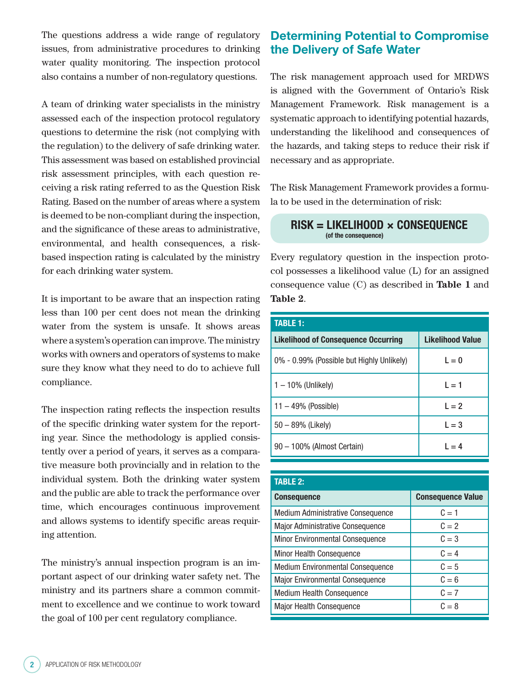The questions address a wide range of regulatory issues, from administrative procedures to drinking water quality monitoring. The inspection protocol also contains a number of non-regulatory questions.

A team of drinking water specialists in the ministry assessed each of the inspection protocol regulatory questions to determine the risk (not complying with the regulation) to the delivery of safe drinking water. This assessment was based on established provincial risk assessment principles, with each question receiving a risk rating referred to as the Question Risk Rating. Based on the number of areas where a system is deemed to be non-compliant during the inspection, and the significance of these areas to administrative, environmental, and health consequences, a riskbased inspection rating is calculated by the ministry for each drinking water system.

It is important to be aware that an inspection rating less than 100 per cent does not mean the drinking water from the system is unsafe. It shows areas where a system's operation can improve. The ministry works with owners and operators of systems to make sure they know what they need to do to achieve full compliance.

The inspection rating reflects the inspection results of the specific drinking water system for the reporting year. Since the methodology is applied consistently over a period of years, it serves as a comparative measure both provincially and in relation to the individual system. Both the drinking water system and the public are able to track the performance over time, which encourages continuous improvement and allows systems to identify specific areas requiring attention.

The ministry's annual inspection program is an important aspect of our drinking water safety net. The ministry and its partners share a common commitment to excellence and we continue to work toward the goal of 100 per cent regulatory compliance.

### **Determining Potential to Compromise the Delivery of Safe Water**

The risk management approach used for MRDWS is aligned with the Government of Ontario's Risk Management Framework. Risk management is a systematic approach to identifying potential hazards, understanding the likelihood and consequences of the hazards, and taking steps to reduce their risk if necessary and as appropriate.

The Risk Management Framework provides a formula to be used in the determination of risk:

#### **RISK = LIKELIHOOD × CONSEQUENCE (of the consequence)**

Every regulatory question in the inspection protocol possesses a likelihood value (L) for an assigned consequence value (C) as described in **Table 1** and **Table 2**.

| <b>TABLE 1:</b>                            |                         |  |  |  |  |  |  |
|--------------------------------------------|-------------------------|--|--|--|--|--|--|
| <b>Likelihood of Consequence Occurring</b> | <b>Likelihood Value</b> |  |  |  |  |  |  |
| 0% - 0.99% (Possible but Highly Unlikely)  | $L = 0$                 |  |  |  |  |  |  |
| $1 - 10\%$ (Unlikely)                      | $L = 1$                 |  |  |  |  |  |  |
| $11 - 49\%$ (Possible)                     | $L = 2$                 |  |  |  |  |  |  |
| $50 - 89%$ (Likely)                        | $L = 3$                 |  |  |  |  |  |  |
| 90 - 100% (Almost Certain)                 | $L = 4$                 |  |  |  |  |  |  |

| <b>TABLE 2:</b>                          |                          |  |  |  |
|------------------------------------------|--------------------------|--|--|--|
| <b>Consequence</b>                       | <b>Consequence Value</b> |  |  |  |
| <b>Medium Administrative Consequence</b> | $C = 1$                  |  |  |  |
| <b>Major Administrative Consequence</b>  | $C = 2$                  |  |  |  |
| Minor Environmental Consequence          | $C = 3$                  |  |  |  |
| Minor Health Consequence                 | $C = 4$                  |  |  |  |
| <b>Medium Environmental Consequence</b>  | $C = 5$                  |  |  |  |
| <b>Major Environmental Consequence</b>   | $C = 6$                  |  |  |  |
| <b>Medium Health Consequence</b>         | $C = 7$                  |  |  |  |
| <b>Major Health Consequence</b>          | $C = 8$                  |  |  |  |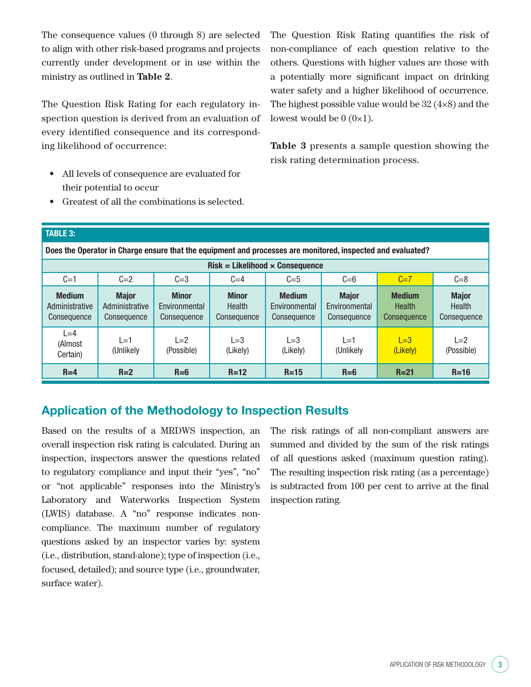The consequence values (0 through 8) are selected to align with other risk-based programs and projects currently under development or in use within the ministry as outlined in **Table 2**.

The Question Risk Rating for each regulatory inspection question is derived from an evaluation of every identified consequence and its corresponding likelihood of occurrence:

- All levels of consequence are evaluated for their potential to occur
- Greatest of all the combinations is selected.

The Question Risk Rating quantifies the risk of non-compliance of each question relative to the others. Questions with higher values are those with a potentially more significant impact on drinking water safety and a higher likelihood of occurrence. The highest possible value would be  $32 \, (4 \times 8)$  and the lowest would be  $0 (0 \times 1)$ .

**Table 3** presents a sample question showing the risk rating determination process.

#### **TABLE 3:**

**Does the Operator in Charge ensure that the equipment and processes are monitored, inspected and evaluated?**

| $Risk = Likelihood \times Consequence$         |                                               |                                              |                                       |                                               |                                              |                                        |                                              |  |  |
|------------------------------------------------|-----------------------------------------------|----------------------------------------------|---------------------------------------|-----------------------------------------------|----------------------------------------------|----------------------------------------|----------------------------------------------|--|--|
| $C=1$                                          | $C=2$                                         | $C = 3$                                      | $C=4$                                 | $C = 5$                                       | $C = 6$                                      | $C=7$                                  | $C = 8$                                      |  |  |
| <b>Medium</b><br>Administrative<br>Consequence | <b>Major</b><br>Administrative<br>Consequence | <b>Minor</b><br>Environmental<br>Consequence | <b>Minor</b><br>Health<br>Consequence | <b>Medium</b><br>Environmental<br>Consequence | <b>Major</b><br>Environmental<br>Consequence | <b>Medium</b><br>Health<br>Consequence | <b>Major</b><br><b>Health</b><br>Consequence |  |  |
| $L = 4$<br>(Almost<br>Certain)                 | $l = 1$<br>(Unlikely                          | $L=2$<br>(Possible)                          | $L=3$<br>(Likely)                     | $L = 3$<br>(Likely)                           | $L=1$<br>(Unlikely                           | $L=3$<br>(Likely)                      | $L=2$<br>(Possible)                          |  |  |
| $R=4$                                          | $R=2$                                         | $R = 6$                                      | $R = 12$                              | $R=15$                                        | $R=6$                                        | $R = 21$                               | $R=16$                                       |  |  |

### **Application of the Methodology to Inspection Results**

Based on the results of a MRDWS inspection, an overall inspection risk rating is calculated. During an inspection, inspectors answer the questions related to regulatory compliance and input their "yes", "no" or "not applicable" responses into the Ministry's Laboratory and Waterworks Inspection System (LWIS) database. A "no" response indicates noncompliance. The maximum number of regulatory questions asked by an inspector varies by: system (i.e., distribution, stand-alone); type of inspection (i.e., focused, detailed); and source type (i.e., groundwater, surface water).

The risk ratings of all non-compliant answers are summed and divided by the sum of the risk ratings of all questions asked (maximum question rating). The resulting inspection risk rating (as a percentage) is subtracted from 100 per cent to arrive at the final inspection rating.